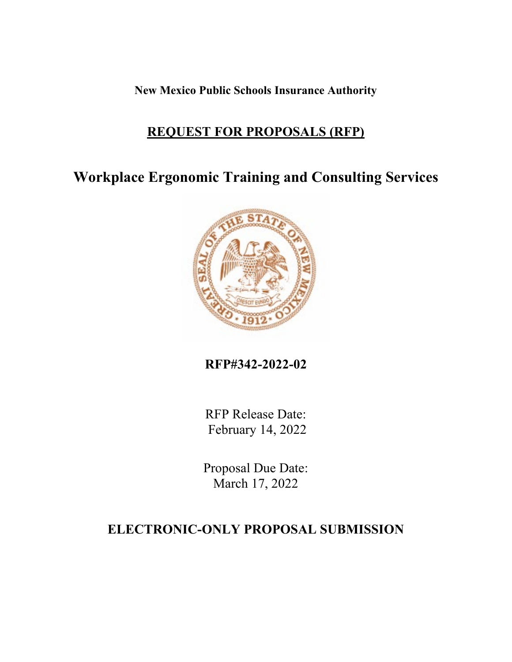**New Mexico Public Schools Insurance Authority** 

# **REQUEST FOR PROPOSALS (RFP)**

**Workplace Ergonomic Training and Consulting Services**



**RFP#342-2022-02**

RFP Release Date: February 14, 2022

Proposal Due Date: March 17, 2022

# **ELECTRONIC-ONLY PROPOSAL SUBMISSION**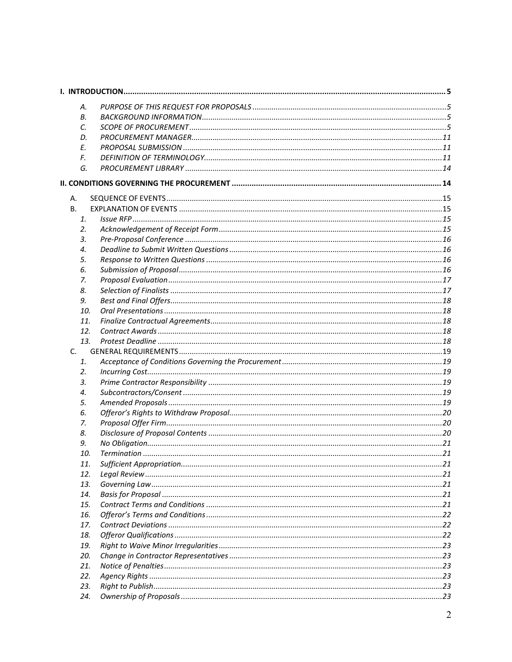|         | А.  |  |
|---------|-----|--|
|         | В.  |  |
|         | C.  |  |
|         | D.  |  |
|         | E.  |  |
|         | F.  |  |
|         | G.  |  |
|         |     |  |
| А.      |     |  |
| В.      |     |  |
|         | 1.  |  |
|         | 2.  |  |
|         | 3.  |  |
|         | 4.  |  |
|         | 5.  |  |
|         | 6.  |  |
|         | 7.  |  |
|         | 8.  |  |
|         | 9.  |  |
|         | 10. |  |
|         | 11. |  |
|         | 12. |  |
|         | 13. |  |
| $C_{1}$ |     |  |
|         | 1.  |  |
|         | 2.  |  |
|         | 3.  |  |
|         | 4.  |  |
|         | 5.  |  |
|         | 6.  |  |
|         | 7.  |  |
|         | 8.  |  |
|         | 9.  |  |
|         | 10. |  |
|         | 11. |  |
|         | 12. |  |
|         | 13. |  |
|         | 14. |  |
|         | 15. |  |
|         | 16. |  |
|         | 17. |  |
|         | 18. |  |
|         | 19. |  |
|         | 20. |  |
|         | 21. |  |
|         | 22. |  |
|         | 23. |  |
|         | 24. |  |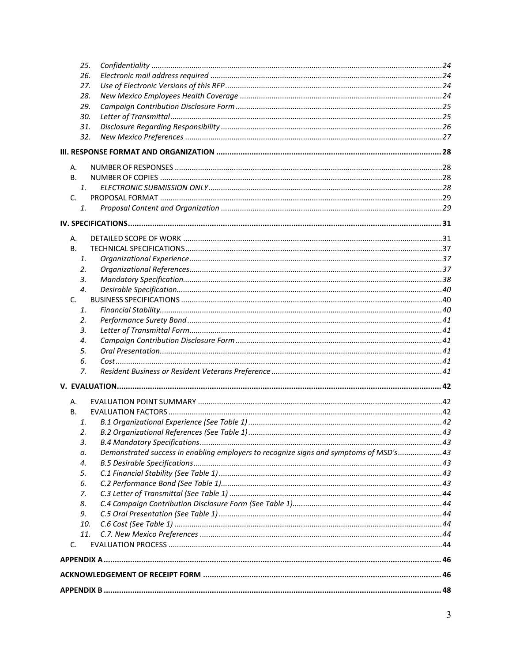|           | 25. |                                                                                       |  |  |  |  |
|-----------|-----|---------------------------------------------------------------------------------------|--|--|--|--|
|           | 26. |                                                                                       |  |  |  |  |
|           | 27. |                                                                                       |  |  |  |  |
|           | 28. |                                                                                       |  |  |  |  |
|           | 29. |                                                                                       |  |  |  |  |
|           | 30. |                                                                                       |  |  |  |  |
|           | 31. |                                                                                       |  |  |  |  |
|           | 32. |                                                                                       |  |  |  |  |
|           |     |                                                                                       |  |  |  |  |
| Α.        |     |                                                                                       |  |  |  |  |
| В.        |     |                                                                                       |  |  |  |  |
|           | 1.  |                                                                                       |  |  |  |  |
| C.        |     |                                                                                       |  |  |  |  |
|           | 1.  |                                                                                       |  |  |  |  |
|           |     |                                                                                       |  |  |  |  |
| А.        |     |                                                                                       |  |  |  |  |
| <b>B.</b> |     |                                                                                       |  |  |  |  |
|           | 1.  |                                                                                       |  |  |  |  |
|           | 2.  |                                                                                       |  |  |  |  |
|           | 3.  |                                                                                       |  |  |  |  |
|           | 4.  |                                                                                       |  |  |  |  |
| C.        |     |                                                                                       |  |  |  |  |
|           | 1.  |                                                                                       |  |  |  |  |
|           | 2.  |                                                                                       |  |  |  |  |
|           | 3.  |                                                                                       |  |  |  |  |
|           | 4.  |                                                                                       |  |  |  |  |
|           | 5.  |                                                                                       |  |  |  |  |
|           | 6.  |                                                                                       |  |  |  |  |
|           | 7.  |                                                                                       |  |  |  |  |
|           |     |                                                                                       |  |  |  |  |
| А.        |     |                                                                                       |  |  |  |  |
| В.        |     |                                                                                       |  |  |  |  |
|           | 1.  |                                                                                       |  |  |  |  |
|           | 2.  |                                                                                       |  |  |  |  |
|           | 3.  |                                                                                       |  |  |  |  |
|           | а.  | Demonstrated success in enabling employers to recognize signs and symptoms of MSD's43 |  |  |  |  |
|           | 4.  |                                                                                       |  |  |  |  |
|           | 5.  |                                                                                       |  |  |  |  |
|           | 6.  |                                                                                       |  |  |  |  |
|           | 7.  |                                                                                       |  |  |  |  |
|           | 8.  |                                                                                       |  |  |  |  |
|           | 9.  |                                                                                       |  |  |  |  |
|           | 10. |                                                                                       |  |  |  |  |
|           | 11. |                                                                                       |  |  |  |  |
| C.        |     |                                                                                       |  |  |  |  |
|           |     |                                                                                       |  |  |  |  |
|           |     |                                                                                       |  |  |  |  |
|           |     |                                                                                       |  |  |  |  |
|           |     |                                                                                       |  |  |  |  |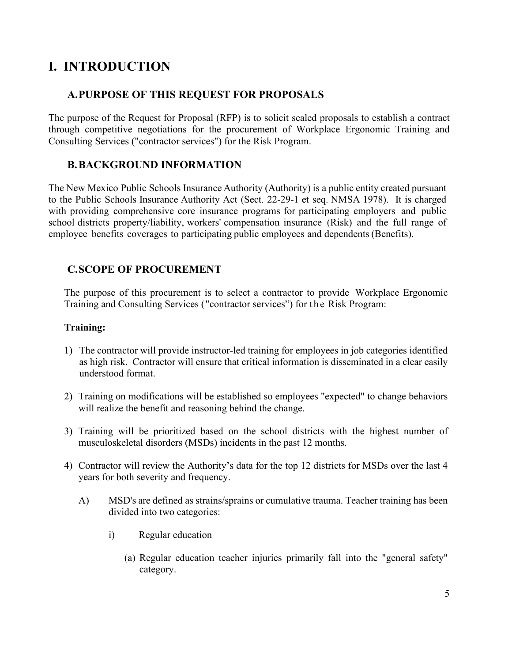# <span id="page-4-0"></span>**I. INTRODUCTION**

# <span id="page-4-1"></span>**A.PURPOSE OF THIS REQUEST FOR PROPOSALS**

The purpose of the Request for Proposal (RFP) is to solicit sealed proposals to establish a contract through competitive negotiations for the procurement of Workplace Ergonomic Training and Consulting Services ("contractor services") for the Risk Program.

# <span id="page-4-2"></span>**B.BACKGROUND INFORMATION**

The New Mexico Public Schools Insurance Authority (Authority) is a public entity created pursuant to the Public Schools Insurance Authority Act (Sect. 22-29-1 et seq. NMSA 1978). It is charged with providing comprehensive core insurance programs for participating employers and public school districts property/liability, workers' compensation insurance (Risk) and the full range of employee benefits coverages to participating public employees and dependents(Benefits).

# <span id="page-4-3"></span>**C.SCOPE OF PROCUREMENT**

The purpose of this procurement is to select a contractor to provide Workplace Ergonomic Training and Consulting Services ("contractor services") for the Risk Program:

# **Training:**

- 1) The contractor will provide instructor-led training for employees in job categories identified as high risk. Contractor will ensure that critical information is disseminated in a clear easily understood format.
- 2) Training on modifications will be established so employees "expected" to change behaviors will realize the benefit and reasoning behind the change.
- 3) Training will be prioritized based on the school districts with the highest number of musculoskeletal disorders (MSDs) incidents in the past 12 months.
- 4) Contractor will review the Authority's data for the top 12 districts for MSDs over the last 4 years for both severity and frequency.
	- A) MSD's are defined as strains/sprains or cumulative trauma. Teacher training has been divided into two categories:
		- i) Regular education
			- (a) Regular education teacher injuries primarily fall into the "general safety" category.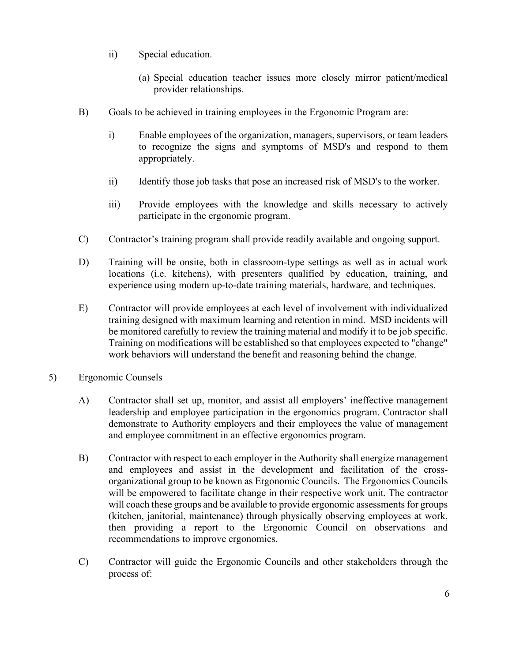- ii) Special education.
	- (a) Special education teacher issues more closely mirror patient/medical provider relationships.
- B) Goals to be achieved in training employees in the Ergonomic Program are:
	- i) Enable employees of the organization, managers, supervisors, or team leaders to recognize the signs and symptoms of MSD's and respond to them appropriately.
	- ii) Identify those job tasks that pose an increased risk of MSD's to the worker.
	- iii) Provide employees with the knowledge and skills necessary to actively participate in the ergonomic program.
- C) Contractor's training program shall provide readily available and ongoing support.
- D) Training will be onsite, both in classroom-type settings as well as in actual work locations (i.e. kitchens), with presenters qualified by education, training, and experience using modern up-to-date training materials, hardware, and techniques.
- E) Contractor will provide employees at each level of involvement with individualized training designed with maximum learning and retention in mind. MSD incidents will be monitored carefully to review the training material and modify it to be job specific. Training on modifications will be established so that employees expected to "change" work behaviors will understand the benefit and reasoning behind the change.
- 5) Ergonomic Counsels
	- A) Contractor shall set up, monitor, and assist all employers' ineffective management leadership and employee participation in the ergonomics program. Contractor shall demonstrate to Authority employers and their employees the value of management and employee commitment in an effective ergonomics program.
	- B) Contractor with respect to each employer in the Authority shall energize management and employees and assist in the development and facilitation of the crossorganizational group to be known as Ergonomic Councils. The Ergonomics Councils will be empowered to facilitate change in their respective work unit. The contractor will coach these groups and be available to provide ergonomic assessments for groups (kitchen, janitorial, maintenance) through physically observing employees at work, then providing a report to the Ergonomic Council on observations and recommendations to improve ergonomics.
	- C) Contractor will guide the Ergonomic Councils and other stakeholders through the process of: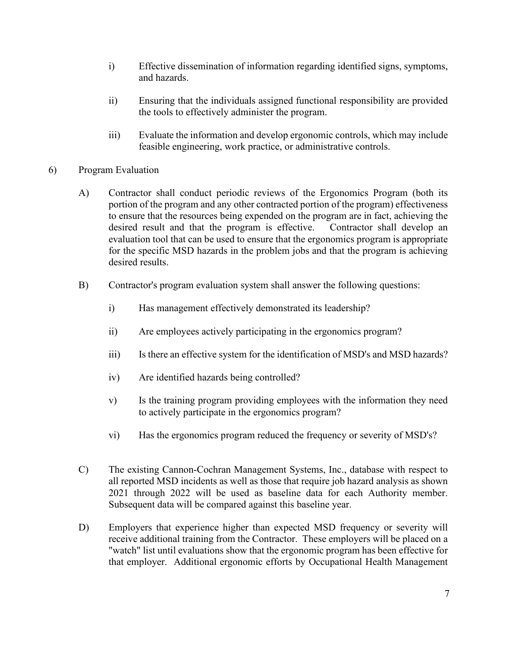- i) Effective dissemination of information regarding identified signs, symptoms, and hazards.
- ii) Ensuring that the individuals assigned functional responsibility are provided the tools to effectively administer the program.
- iii) Evaluate the information and develop ergonomic controls, which may include feasible engineering, work practice, or administrative controls.
- 6) Program Evaluation
	- A) Contractor shall conduct periodic reviews of the Ergonomics Program (both its portion of the program and any other contracted portion of the program) effectiveness to ensure that the resources being expended on the program are in fact, achieving the desired result and that the program is effective. Contractor shall develop an evaluation tool that can be used to ensure that the ergonomics program is appropriate for the specific MSD hazards in the problem jobs and that the program is achieving desired results.
	- B) Contractor's program evaluation system shall answer the following questions:
		- i) Has management effectively demonstrated its leadership?
		- ii) Are employees actively participating in the ergonomics program?
		- iii) Is there an effective system for the identification of MSD's and MSD hazards?
		- iv) Are identified hazards being controlled?
		- v) Is the training program providing employees with the information they need to actively participate in the ergonomics program?
		- vi) Has the ergonomics program reduced the frequency or severity of MSD's?
	- C) The existing Cannon-Cochran Management Systems, Inc., database with respect to all reported MSD incidents as well as those that require job hazard analysis as shown 2021 through 2022 will be used as baseline data for each Authority member. Subsequent data will be compared against this baseline year.
	- D) Employers that experience higher than expected MSD frequency or severity will receive additional training from the Contractor. These employers will be placed on a "watch" list until evaluations show that the ergonomic program has been effective for that employer. Additional ergonomic efforts by Occupational Health Management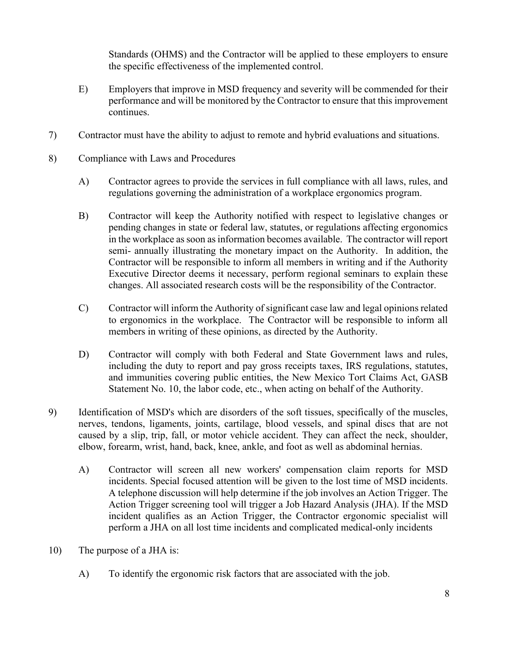Standards (OHMS) and the Contractor will be applied to these employers to ensure the specific effectiveness of the implemented control.

- E) Employers that improve in MSD frequency and severity will be commended for their performance and will be monitored by the Contractor to ensure that this improvement continues.
- 7) Contractor must have the ability to adjust to remote and hybrid evaluations and situations.
- 8) Compliance with Laws and Procedures
	- A) Contractor agrees to provide the services in full compliance with all laws, rules, and regulations governing the administration of a workplace ergonomics program.
	- B) Contractor will keep the Authority notified with respect to legislative changes or pending changes in state or federal law, statutes, or regulations affecting ergonomics in the workplace as soon as information becomes available. The contractor will report semi- annually illustrating the monetary impact on the Authority. In addition, the Contractor will be responsible to inform all members in writing and if the Authority Executive Director deems it necessary, perform regional seminars to explain these changes. All associated research costs will be the responsibility of the Contractor.
	- C) Contractor will inform the Authority of significant case law and legal opinions related to ergonomics in the workplace. The Contractor will be responsible to inform all members in writing of these opinions, as directed by the Authority.
	- D) Contractor will comply with both Federal and State Government laws and rules, including the duty to report and pay gross receipts taxes, IRS regulations, statutes, and immunities covering public entities, the New Mexico Tort Claims Act, GASB Statement No. 10, the labor code, etc., when acting on behalf of the Authority.
- 9) Identification of MSD's which are disorders of the soft tissues, specifically of the muscles, nerves, tendons, ligaments, joints, cartilage, blood vessels, and spinal discs that are not caused by a slip, trip, fall, or motor vehicle accident. They can affect the neck, shoulder, elbow, forearm, wrist, hand, back, knee, ankle, and foot as well as abdominal hernias.
	- A) Contractor will screen all new workers' compensation claim reports for MSD incidents. Special focused attention will be given to the lost time of MSD incidents. A telephone discussion will help determine if the job involves an Action Trigger. The Action Trigger screening tool will trigger a Job Hazard Analysis (JHA). If the MSD incident qualifies as an Action Trigger, the Contractor ergonomic specialist will perform a JHA on all lost time incidents and complicated medical-only incidents
- 10) The purpose of a JHA is:
	- A) To identify the ergonomic risk factors that are associated with the job.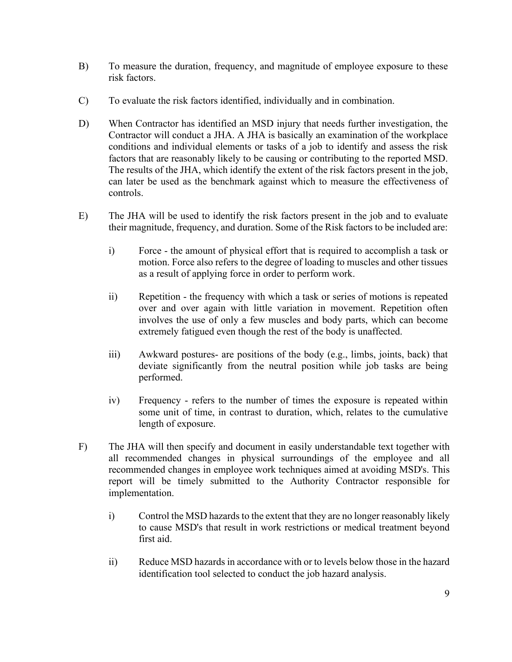- B) To measure the duration, frequency, and magnitude of employee exposure to these risk factors.
- C) To evaluate the risk factors identified, individually and in combination.
- D) When Contractor has identified an MSD injury that needs further investigation, the Contractor will conduct a JHA. A JHA is basically an examination of the workplace conditions and individual elements or tasks of a job to identify and assess the risk factors that are reasonably likely to be causing or contributing to the reported MSD. The results of the JHA, which identify the extent of the risk factors present in the job, can later be used as the benchmark against which to measure the effectiveness of controls.
- E) The JHA will be used to identify the risk factors present in the job and to evaluate their magnitude, frequency, and duration. Some of the Risk factors to be included are:
	- i) Force the amount of physical effort that is required to accomplish a task or motion. Force also refers to the degree of loading to muscles and other tissues as a result of applying force in order to perform work.
	- ii) Repetition the frequency with which a task or series of motions is repeated over and over again with little variation in movement. Repetition often involves the use of only a few muscles and body parts, which can become extremely fatigued even though the rest of the body is unaffected.
	- iii) Awkward postures- are positions of the body (e.g., limbs, joints, back) that deviate significantly from the neutral position while job tasks are being performed.
	- iv) Frequency refers to the number of times the exposure is repeated within some unit of time, in contrast to duration, which, relates to the cumulative length of exposure.
- F) The JHA will then specify and document in easily understandable text together with all recommended changes in physical surroundings of the employee and all recommended changes in employee work techniques aimed at avoiding MSD's. This report will be timely submitted to the Authority Contractor responsible for implementation.
	- i) Control the MSD hazards to the extent that they are no longer reasonably likely to cause MSD's that result in work restrictions or medical treatment beyond first aid.
	- ii) Reduce MSD hazards in accordance with or to levels below those in the hazard identification tool selected to conduct the job hazard analysis.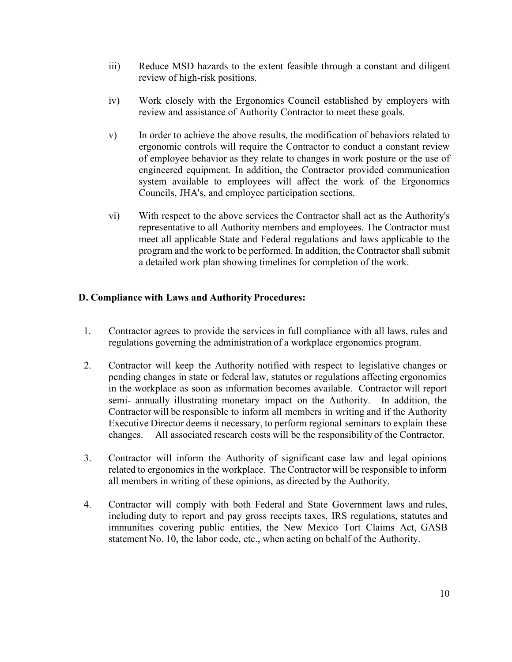- iii) Reduce MSD hazards to the extent feasible through a constant and diligent review of high-risk positions.
- iv) Work closely with the Ergonomics Council established by employers with review and assistance of Authority Contractor to meet these goals.
- v) In order to achieve the above results, the modification of behaviors related to ergonomic controls will require the Contractor to conduct a constant review of employee behavior as they relate to changes in work posture or the use of engineered equipment. In addition, the Contractor provided communication system available to employees will affect the work of the Ergonomics Councils, JHA's, and employee participation sections.
- vi) With respect to the above services the Contractor shall act as the Authority's representative to all Authority members and employees. The Contractor must meet all applicable State and Federal regulations and laws applicable to the program and the work to be performed. In addition, the Contractor shall submit a detailed work plan showing timelines for completion of the work.

## **D. Compliance with Laws and Authority Procedures:**

- 1. Contractor agrees to provide the services in full compliance with all laws, rules and regulations governing the administration of a workplace ergonomics program.
- 2. Contractor will keep the Authority notified with respect to legislative changes or pending changes in state or federal law, statutes or regulations affecting ergonomics in the workplace as soon as information becomes available. Contractor will report semi- annually illustrating monetary impact on the Authority. In addition, the Contractor will be responsible to inform all members in writing and if the Authority Executive Director deems it necessary, to perform regional seminars to explain these changes. All associated research costs will be the responsibility of the Contractor.
- 3. Contractor will inform the Authority of significant case law and legal opinions related to ergonomics in the workplace. The Contractor will be responsible to inform all members in writing of these opinions, as directed by the Authority.
- 4. Contractor will comply with both Federal and State Government laws and rules, including duty to report and pay gross receipts taxes, IRS regulations, statutes and immunities covering public entities, the New Mexico Tort Claims Act, GASB statement No. 10, the labor code, etc., when acting on behalf of the Authority.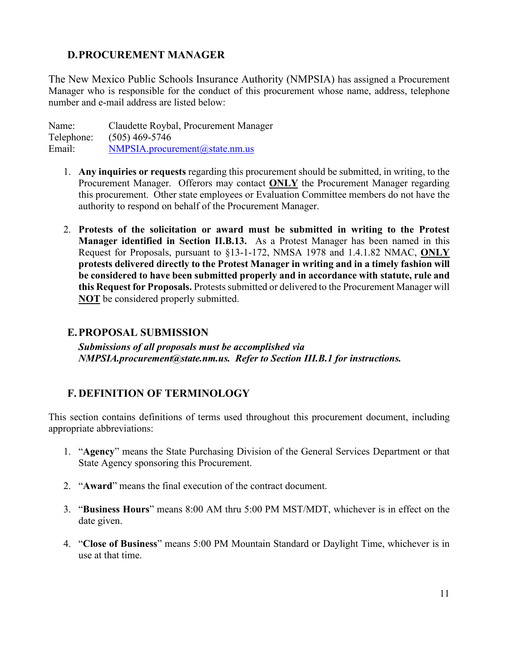# <span id="page-10-0"></span>**D.PROCUREMENT MANAGER**

The New Mexico Public Schools Insurance Authority (NMPSIA) has assigned a Procurement Manager who is responsible for the conduct of this procurement whose name, address, telephone number and e-mail address are listed below:

Name: Claudette Roybal, Procurement Manager Telephone: (505) 469-5746 Email: [NMPSIA.procurement@state.nm.us](mailto:NMPSIA.procurement@state.nm.us)

- 1. **Any inquiries or requests** regarding this procurement should be submitted, in writing, to the Procurement Manager. Offerors may contact **ONLY** the Procurement Manager regarding this procurement. Other state employees or Evaluation Committee members do not have the authority to respond on behalf of the Procurement Manager.
- 2. **Protests of the solicitation or award must be submitted in writing to the Protest Manager identified in Section II.B.13.** As a Protest Manager has been named in this Request for Proposals, pursuant to §13-1-172, NMSA 1978 and 1.4.1.82 NMAC, **ONLY protests delivered directly to the Protest Manager in writing and in a timely fashion will be considered to have been submitted properly and in accordance with statute, rule and this Request for Proposals.** Protests submitted or delivered to the Procurement Manager will **NOT** be considered properly submitted.

# <span id="page-10-1"></span>**E.PROPOSAL SUBMISSION**

*Submissions of all proposals must be accomplished via NMPSIA.procurement@state.nm.us. Refer to Section III.B.1 for instructions.*

# <span id="page-10-2"></span>**F. DEFINITION OF TERMINOLOGY**

This section contains definitions of terms used throughout this procurement document, including appropriate abbreviations:

- 1. "**Agency**" means the State Purchasing Division of the General Services Department or that State Agency sponsoring this Procurement.
- 2. "**Award**" means the final execution of the contract document.
- 3. "**Business Hours**" means 8:00 AM thru 5:00 PM MST/MDT, whichever is in effect on the date given.
- 4. "**Close of Business**" means 5:00 PM Mountain Standard or Daylight Time, whichever is in use at that time.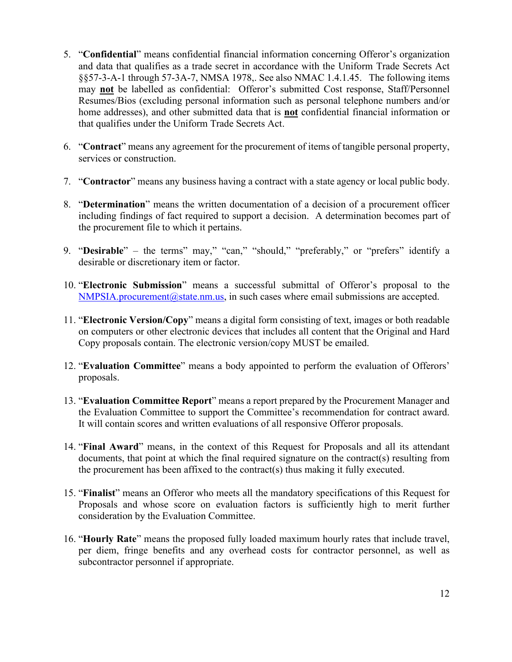- 5. "**Confidential**" means confidential financial information concerning Offeror's organization and data that qualifies as a trade secret in accordance with the Uniform Trade Secrets Act §§57-3-A-1 through 57-3A-7, NMSA 1978,. See also NMAC 1.4.1.45. The following items may **not** be labelled as confidential: Offeror's submitted Cost response, Staff/Personnel Resumes/Bios (excluding personal information such as personal telephone numbers and/or home addresses), and other submitted data that is **not** confidential financial information or that qualifies under the Uniform Trade Secrets Act.
- 6. "**Contract**" means any agreement for the procurement of items of tangible personal property, services or construction.
- 7. "**Contractor**" means any business having a contract with a state agency or local public body.
- 8. "**Determination**" means the written documentation of a decision of a procurement officer including findings of fact required to support a decision. A determination becomes part of the procurement file to which it pertains.
- 9. "**Desirable**" the terms" may," "can," "should," "preferably," or "prefers" identify a desirable or discretionary item or factor.
- 10. "**Electronic Submission**" means a successful submittal of Offeror's proposal to the  $NMPSIA.procurrent@state.nm.us,$  in such cases where email submissions are accepted.
- 11. "**Electronic Version/Copy**" means a digital form consisting of text, images or both readable on computers or other electronic devices that includes all content that the Original and Hard Copy proposals contain. The electronic version/copy MUST be emailed.
- 12. "**Evaluation Committee**" means a body appointed to perform the evaluation of Offerors' proposals.
- 13. "**Evaluation Committee Report**" means a report prepared by the Procurement Manager and the Evaluation Committee to support the Committee's recommendation for contract award. It will contain scores and written evaluations of all responsive Offeror proposals.
- 14. "**Final Award**" means, in the context of this Request for Proposals and all its attendant documents, that point at which the final required signature on the contract(s) resulting from the procurement has been affixed to the contract(s) thus making it fully executed.
- 15. "**Finalist**" means an Offeror who meets all the mandatory specifications of this Request for Proposals and whose score on evaluation factors is sufficiently high to merit further consideration by the Evaluation Committee.
- 16. "**Hourly Rate**" means the proposed fully loaded maximum hourly rates that include travel, per diem, fringe benefits and any overhead costs for contractor personnel, as well as subcontractor personnel if appropriate.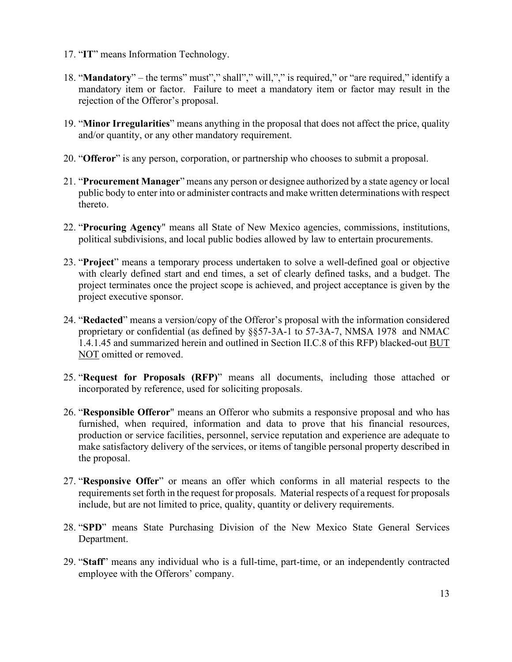- 17. "**IT**" means Information Technology.
- 18. "**Mandatory**" the terms" must"," shall"," will,"," is required," or "are required," identify a mandatory item or factor. Failure to meet a mandatory item or factor may result in the rejection of the Offeror's proposal.
- 19. "**Minor Irregularities**" means anything in the proposal that does not affect the price, quality and/or quantity, or any other mandatory requirement.
- 20. "**Offeror**" is any person, corporation, or partnership who chooses to submit a proposal.
- 21. "**Procurement Manager**" means any person or designee authorized by a state agency or local public body to enter into or administer contracts and make written determinations with respect thereto.
- 22. "**Procuring Agency**" means all State of New Mexico agencies, commissions, institutions, political subdivisions, and local public bodies allowed by law to entertain procurements.
- 23. "**Project**" means a temporary process undertaken to solve a well-defined goal or objective with clearly defined start and end times, a set of clearly defined tasks, and a budget. The project terminates once the project scope is achieved, and project acceptance is given by the project executive sponsor.
- 24. "**Redacted**" means a version/copy of the Offeror's proposal with the information considered proprietary or confidential (as defined by §§57-3A-1 to 57-3A-7, NMSA 1978 and NMAC 1.4.1.45 and summarized herein and outlined in Section II.C.8 of this RFP) blacked-out BUT NOT omitted or removed.
- 25. "**Request for Proposals (RFP)**" means all documents, including those attached or incorporated by reference, used for soliciting proposals.
- 26. "**Responsible Offeror**" means an Offeror who submits a responsive proposal and who has furnished, when required, information and data to prove that his financial resources, production or service facilities, personnel, service reputation and experience are adequate to make satisfactory delivery of the services, or items of tangible personal property described in the proposal.
- 27. "**Responsive Offer**" or means an offer which conforms in all material respects to the requirements set forth in the request for proposals. Material respects of a request for proposals include, but are not limited to price, quality, quantity or delivery requirements.
- 28. "**SPD**" means State Purchasing Division of the New Mexico State General Services Department.
- 29. "**Staff**" means any individual who is a full-time, part-time, or an independently contracted employee with the Offerors' company.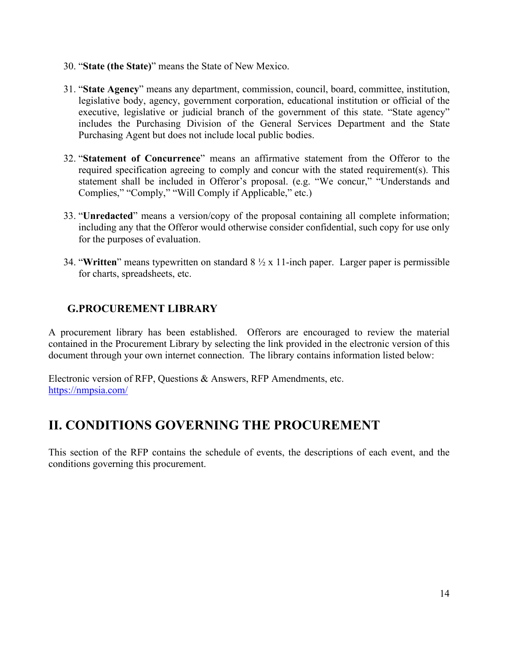- 30. "**State (the State)**" means the State of New Mexico.
- 31. "**State Agency**" means any department, commission, council, board, committee, institution, legislative body, agency, government corporation, educational institution or official of the executive, legislative or judicial branch of the government of this state. "State agency" includes the Purchasing Division of the General Services Department and the State Purchasing Agent but does not include local public bodies.
- 32. "**Statement of Concurrence**" means an affirmative statement from the Offeror to the required specification agreeing to comply and concur with the stated requirement(s). This statement shall be included in Offeror's proposal. (e.g. "We concur," "Understands and Complies," "Comply," "Will Comply if Applicable," etc.)
- 33. "**Unredacted**" means a version/copy of the proposal containing all complete information; including any that the Offeror would otherwise consider confidential, such copy for use only for the purposes of evaluation.
- 34. "**Written**" means typewritten on standard 8 ½ x 11-inch paper. Larger paper is permissible for charts, spreadsheets, etc.

# <span id="page-13-0"></span>**G.PROCUREMENT LIBRARY**

A procurement library has been established. Offerors are encouraged to review the material contained in the Procurement Library by selecting the link provided in the electronic version of this document through your own internet connection. The library contains information listed below:

Electronic version of RFP, Questions & Answers, RFP Amendments, etc. <https://nmpsia.com/>

# <span id="page-13-1"></span>**II. CONDITIONS GOVERNING THE PROCUREMENT**

This section of the RFP contains the schedule of events, the descriptions of each event, and the conditions governing this procurement.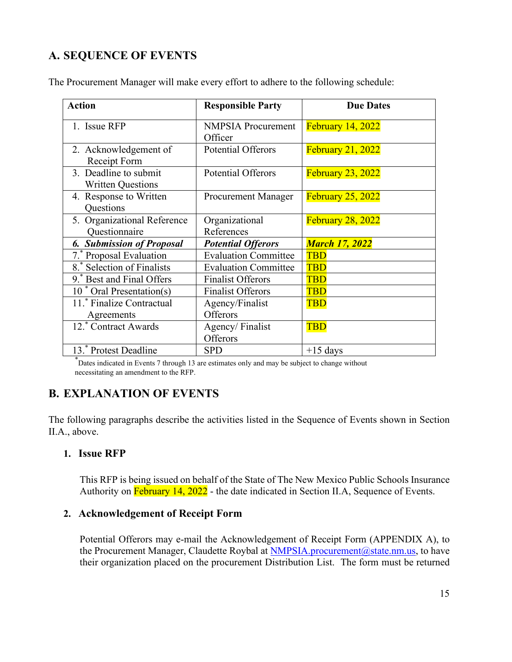# <span id="page-14-0"></span>**A. SEQUENCE OF EVENTS**

| <b>Action</b>                                     | <b>Responsible Party</b>             | <b>Due Dates</b>         |
|---------------------------------------------------|--------------------------------------|--------------------------|
| 1. Issue RFP                                      | <b>NMPSIA</b> Procurement<br>Officer | <b>February 14, 2022</b> |
| 2. Acknowledgement of<br>Receipt Form             | <b>Potential Offerors</b>            | <b>February 21, 2022</b> |
| 3. Deadline to submit<br><b>Written Questions</b> | <b>Potential Offerors</b>            | <b>February 23, 2022</b> |
| 4. Response to Written<br>Questions               | <b>Procurement Manager</b>           | <b>February 25, 2022</b> |
| 5. Organizational Reference<br>Questionnaire      | Organizational<br>References         | <b>February 28, 2022</b> |
| <b>6. Submission of Proposal</b>                  | <b>Potential Offerors</b>            | <b>March 17, 2022</b>    |
| 7. Proposal Evaluation                            | <b>Evaluation Committee</b>          | <b>TBD</b>               |
| 8.* Selection of Finalists                        | <b>Evaluation Committee</b>          | <b>TBD</b>               |
| 9. Best and Final Offers                          | <b>Finalist Offerors</b>             | <b>TBD</b>               |
| 10 <sup>*</sup> Oral Presentation(s)              | <b>Finalist Offerors</b>             | <b>TBD</b>               |
| 11. Finalize Contractual                          | Agency/Finalist                      | <b>TBD</b>               |
| Agreements                                        | Offerors                             |                          |
| $\overline{12}$ . Contract Awards                 | Agency/Finalist                      | <b>TBD</b>               |
|                                                   | Offerors                             |                          |
| 13. Protest Deadline                              | <b>SPD</b>                           | $+15$ days               |

The Procurement Manager will make every effort to adhere to the following schedule:

\* Dates indicated in Events 7 through 13 are estimates only and may be subject to change without necessitating an amendment to the RFP.

# <span id="page-14-1"></span>**B. EXPLANATION OF EVENTS**

The following paragraphs describe the activities listed in the Sequence of Events shown in Section II.A., above.

## <span id="page-14-2"></span>**1. Issue RFP**

This RFP is being issued on behalf of the State of The New Mexico Public Schools Insurance Authority on February 14, 2022 - the date indicated in Section II.A, Sequence of Events.

## <span id="page-14-3"></span>**2. Acknowledgement of Receipt Form**

Potential Offerors may e-mail the Acknowledgement of Receipt Form (APPENDIX A), to the Procurement Manager, Claudette Roybal at NMPSIA.procurement@state.nm.us, to have their organization placed on the procurement Distribution List. The form must be returned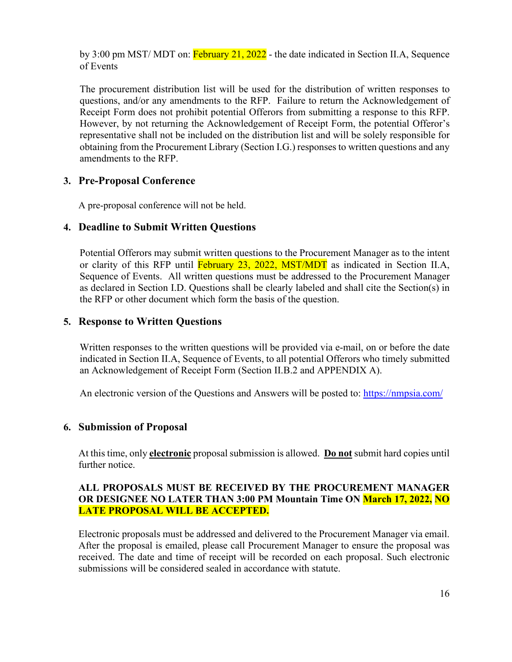by 3:00 pm MST/ MDT on: February 21, 2022 - the date indicated in Section II.A, Sequence of Events

The procurement distribution list will be used for the distribution of written responses to questions, and/or any amendments to the RFP. Failure to return the Acknowledgement of Receipt Form does not prohibit potential Offerors from submitting a response to this RFP. However, by not returning the Acknowledgement of Receipt Form, the potential Offeror's representative shall not be included on the distribution list and will be solely responsible for obtaining from the Procurement Library (Section I.G.) responses to written questions and any amendments to the RFP.

## <span id="page-15-0"></span>**3. Pre-Proposal Conference**

A pre-proposal conference will not be held.

# <span id="page-15-1"></span>**4. Deadline to Submit Written Questions**

Potential Offerors may submit written questions to the Procurement Manager as to the intent or clarity of this RFP until February 23, 2022, MST/MDT as indicated in Section II.A, Sequence of Events. All written questions must be addressed to the Procurement Manager as declared in Section I.D. Questions shall be clearly labeled and shall cite the Section(s) in the RFP or other document which form the basis of the question.

# <span id="page-15-2"></span>**5. Response to Written Questions**

Written responses to the written questions will be provided via e-mail, on or before the date indicated in Section II.A, Sequence of Events, to all potential Offerors who timely submitted an Acknowledgement of Receipt Form (Section II.B.2 and APPENDIX A).

An electronic version of the Questions and Answers will be posted to:<https://nmpsia.com/>

## <span id="page-15-3"></span>**6. Submission of Proposal**

At this time, only **electronic** proposal submission is allowed. **Do not** submit hard copies until further notice.

### **ALL PROPOSALS MUST BE RECEIVED BY THE PROCUREMENT MANAGER OR DESIGNEE NO LATER THAN 3:00 PM Mountain Time ON March 17, 2022, NO LATE PROPOSAL WILL BE ACCEPTED.**

Electronic proposals must be addressed and delivered to the Procurement Manager via email. After the proposal is emailed, please call Procurement Manager to ensure the proposal was received. The date and time of receipt will be recorded on each proposal. Such electronic submissions will be considered sealed in accordance with statute.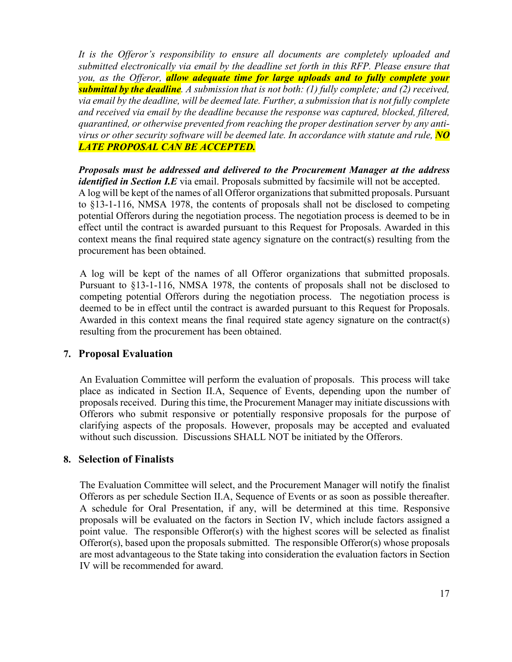*It is the Offeror's responsibility to ensure all documents are completely uploaded and submitted electronically via email by the deadline set forth in this RFP. Please ensure that you, as the Offeror, allow adequate time for large uploads and to fully complete your submittal by the deadline. A submission that is not both: (1) fully complete; and (2) received, via email by the deadline, will be deemed late. Further, a submission that is not fully complete and received via email by the deadline because the response was captured, blocked, filtered, quarantined, or otherwise prevented from reaching the proper destination server by any antivirus or other security software will be deemed late. In accordance with statute and rule, NO LATE PROPOSAL CAN BE ACCEPTED.*

*Proposals must be addressed and delivered to the Procurement Manager at the address identified in Section I.E* via email. Proposals submitted by facsimile will not be accepted. A log will be kept of the names of all Offeror organizations that submitted proposals. Pursuant to §13-1-116, NMSA 1978, the contents of proposals shall not be disclosed to competing potential Offerors during the negotiation process. The negotiation process is deemed to be in effect until the contract is awarded pursuant to this Request for Proposals. Awarded in this context means the final required state agency signature on the contract(s) resulting from the procurement has been obtained.

A log will be kept of the names of all Offeror organizations that submitted proposals. Pursuant to §13-1-116, NMSA 1978, the contents of proposals shall not be disclosed to competing potential Offerors during the negotiation process. The negotiation process is deemed to be in effect until the contract is awarded pursuant to this Request for Proposals. Awarded in this context means the final required state agency signature on the contract(s) resulting from the procurement has been obtained.

#### <span id="page-16-0"></span>**7. Proposal Evaluation**

An Evaluation Committee will perform the evaluation of proposals. This process will take place as indicated in Section II.A, Sequence of Events, depending upon the number of proposals received. During this time, the Procurement Manager may initiate discussions with Offerors who submit responsive or potentially responsive proposals for the purpose of clarifying aspects of the proposals. However, proposals may be accepted and evaluated without such discussion. Discussions SHALL NOT be initiated by the Offerors.

#### <span id="page-16-1"></span>**8. Selection of Finalists**

The Evaluation Committee will select, and the Procurement Manager will notify the finalist Offerors as per schedule Section II.A, Sequence of Events or as soon as possible thereafter. A schedule for Oral Presentation, if any, will be determined at this time. Responsive proposals will be evaluated on the factors in Section IV, which include factors assigned a point value. The responsible Offeror(s) with the highest scores will be selected as finalist Offeror(s), based upon the proposals submitted. The responsible Offeror(s) whose proposals are most advantageous to the State taking into consideration the evaluation factors in Section IV will be recommended for award.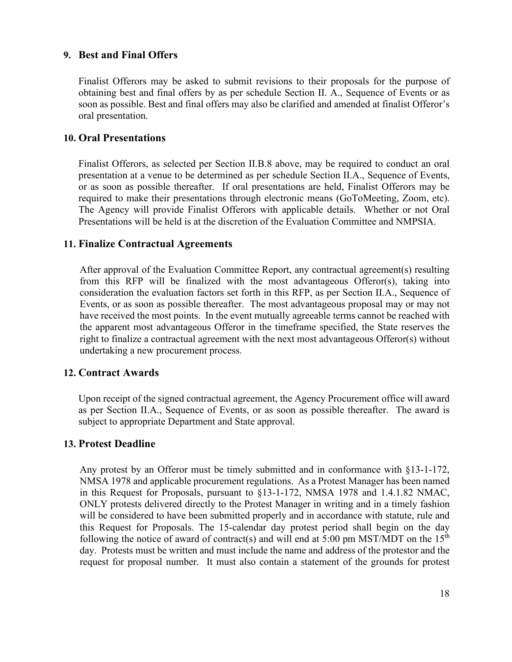### <span id="page-17-0"></span>**9. Best and Final Offers**

Finalist Offerors may be asked to submit revisions to their proposals for the purpose of obtaining best and final offers by as per schedule Section II. A., Sequence of Events or as soon as possible. Best and final offers may also be clarified and amended at finalist Offeror's oral presentation.

#### <span id="page-17-1"></span>**10. Oral Presentations**

Finalist Offerors, as selected per Section II.B.8 above, may be required to conduct an oral presentation at a venue to be determined as per schedule Section II.A., Sequence of Events, or as soon as possible thereafter. If oral presentations are held, Finalist Offerors may be required to make their presentations through electronic means (GoToMeeting, Zoom, etc). The Agency will provide Finalist Offerors with applicable details. Whether or not Oral Presentations will be held is at the discretion of the Evaluation Committee and NMPSIA.

### <span id="page-17-2"></span>**11. Finalize Contractual Agreements**

After approval of the Evaluation Committee Report, any contractual agreement(s) resulting from this RFP will be finalized with the most advantageous Offeror(s), taking into consideration the evaluation factors set forth in this RFP, as per Section II.A., Sequence of Events, or as soon as possible thereafter. The most advantageous proposal may or may not have received the most points. In the event mutually agreeable terms cannot be reached with the apparent most advantageous Offeror in the timeframe specified, the State reserves the right to finalize a contractual agreement with the next most advantageous Offeror(s) without undertaking a new procurement process.

#### <span id="page-17-3"></span>**12. Contract Awards**

Upon receipt of the signed contractual agreement, the Agency Procurement office will award as per Section II.A., Sequence of Events, or as soon as possible thereafter. The award is subject to appropriate Department and State approval.

#### <span id="page-17-4"></span>**13. Protest Deadline**

Any protest by an Offeror must be timely submitted and in conformance with §13-1-172, NMSA 1978 and applicable procurement regulations. As a Protest Manager has been named in this Request for Proposals, pursuant to §13-1-172, NMSA 1978 and 1.4.1.82 NMAC, ONLY protests delivered directly to the Protest Manager in writing and in a timely fashion will be considered to have been submitted properly and in accordance with statute, rule and this Request for Proposals. The 15-calendar day protest period shall begin on the day following the notice of award of contract(s) and will end at 5:00 pm MST/MDT on the  $15<sup>th</sup>$ day. Protests must be written and must include the name and address of the protestor and the request for proposal number. It must also contain a statement of the grounds for protest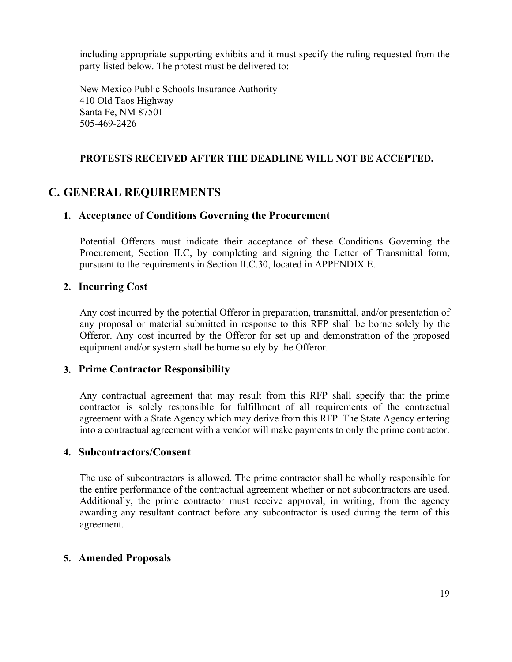including appropriate supporting exhibits and it must specify the ruling requested from the party listed below. The protest must be delivered to:

New Mexico Public Schools Insurance Authority 410 Old Taos Highway Santa Fe, NM 87501 505-469-2426

## **PROTESTS RECEIVED AFTER THE DEADLINE WILL NOT BE ACCEPTED.**

# <span id="page-18-1"></span><span id="page-18-0"></span>**C. GENERAL REQUIREMENTS**

## **1. Acceptance of Conditions Governing the Procurement**

Potential Offerors must indicate their acceptance of these Conditions Governing the Procurement, Section II.C, by completing and signing the Letter of Transmittal form, pursuant to the requirements in Section II.C.30, located in APPENDIX E.

## <span id="page-18-2"></span>**2. Incurring Cost**

Any cost incurred by the potential Offeror in preparation, transmittal, and/or presentation of any proposal or material submitted in response to this RFP shall be borne solely by the Offeror. Any cost incurred by the Offeror for set up and demonstration of the proposed equipment and/or system shall be borne solely by the Offeror.

## <span id="page-18-3"></span>**3. Prime Contractor Responsibility**

Any contractual agreement that may result from this RFP shall specify that the prime contractor is solely responsible for fulfillment of all requirements of the contractual agreement with a State Agency which may derive from this RFP. The State Agency entering into a contractual agreement with a vendor will make payments to only the prime contractor.

## <span id="page-18-4"></span>**4. Subcontractors/Consent**

The use of subcontractors is allowed. The prime contractor shall be wholly responsible for the entire performance of the contractual agreement whether or not subcontractors are used. Additionally, the prime contractor must receive approval, in writing, from the agency awarding any resultant contract before any subcontractor is used during the term of this agreement.

## <span id="page-18-5"></span>**5. Amended Proposals**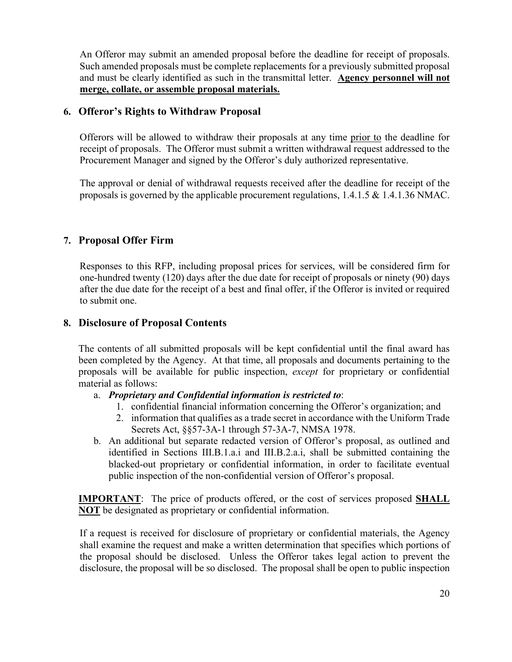An Offeror may submit an amended proposal before the deadline for receipt of proposals. Such amended proposals must be complete replacements for a previously submitted proposal and must be clearly identified as such in the transmittal letter. **Agency personnel will not merge, collate, or assemble proposal materials.**

## <span id="page-19-0"></span>**6. Offeror's Rights to Withdraw Proposal**

Offerors will be allowed to withdraw their proposals at any time prior to the deadline for receipt of proposals. The Offeror must submit a written withdrawal request addressed to the Procurement Manager and signed by the Offeror's duly authorized representative.

The approval or denial of withdrawal requests received after the deadline for receipt of the proposals is governed by the applicable procurement regulations, 1.4.1.5 & 1.4.1.36 NMAC.

# <span id="page-19-1"></span>**7. Proposal Offer Firm**

Responses to this RFP, including proposal prices for services, will be considered firm for one-hundred twenty (120) days after the due date for receipt of proposals or ninety (90) days after the due date for the receipt of a best and final offer, if the Offeror is invited or required to submit one.

# <span id="page-19-2"></span>**8. Disclosure of Proposal Contents**

The contents of all submitted proposals will be kept confidential until the final award has been completed by the Agency. At that time, all proposals and documents pertaining to the proposals will be available for public inspection, *except* for proprietary or confidential material as follows:

## a. *Proprietary and Confidential information is restricted to*:

- 1. confidential financial information concerning the Offeror's organization; and
- 2. information that qualifies as a trade secret in accordance with the Uniform Trade Secrets Act, §§57-3A-1 through 57-3A-7, NMSA 1978.
- b. An additional but separate redacted version of Offeror's proposal, as outlined and identified in Sections III.B.1.a.i and III.B.2.a.i, shall be submitted containing the blacked-out proprietary or confidential information, in order to facilitate eventual public inspection of the non-confidential version of Offeror's proposal.

**IMPORTANT**: The price of products offered, or the cost of services proposed **SHALL NOT** be designated as proprietary or confidential information.

If a request is received for disclosure of proprietary or confidential materials, the Agency shall examine the request and make a written determination that specifies which portions of the proposal should be disclosed. Unless the Offeror takes legal action to prevent the disclosure, the proposal will be so disclosed. The proposal shall be open to public inspection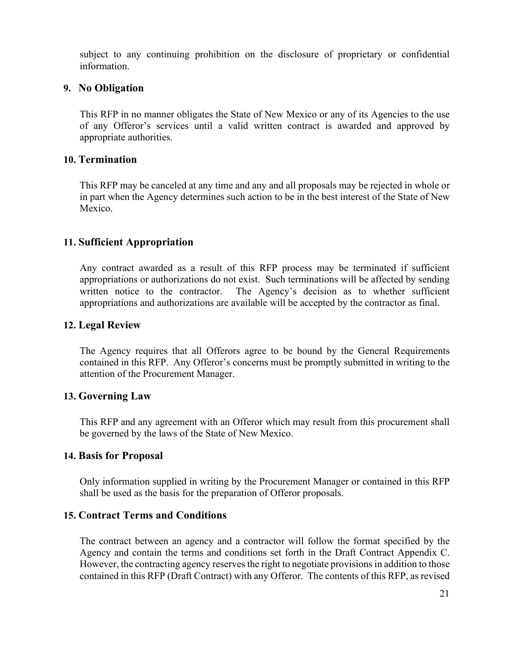subject to any continuing prohibition on the disclosure of proprietary or confidential information.

### <span id="page-20-0"></span>**9. No Obligation**

This RFP in no manner obligates the State of New Mexico or any of its Agencies to the use of any Offeror's services until a valid written contract is awarded and approved by appropriate authorities.

#### <span id="page-20-1"></span>**10. Termination**

This RFP may be canceled at any time and any and all proposals may be rejected in whole or in part when the Agency determines such action to be in the best interest of the State of New Mexico.

### <span id="page-20-2"></span>**11. Sufficient Appropriation**

Any contract awarded as a result of this RFP process may be terminated if sufficient appropriations or authorizations do not exist. Such terminations will be affected by sending written notice to the contractor. The Agency's decision as to whether sufficient appropriations and authorizations are available will be accepted by the contractor as final.

#### <span id="page-20-3"></span>**12. Legal Review**

The Agency requires that all Offerors agree to be bound by the General Requirements contained in this RFP. Any Offeror's concerns must be promptly submitted in writing to the attention of the Procurement Manager.

#### <span id="page-20-4"></span>**13. Governing Law**

This RFP and any agreement with an Offeror which may result from this procurement shall be governed by the laws of the State of New Mexico.

#### <span id="page-20-5"></span>**14. Basis for Proposal**

Only information supplied in writing by the Procurement Manager or contained in this RFP shall be used as the basis for the preparation of Offeror proposals.

## <span id="page-20-6"></span>**15. Contract Terms and Conditions**

The contract between an agency and a contractor will follow the format specified by the Agency and contain the terms and conditions set forth in the Draft Contract Appendix C. However, the contracting agency reserves the right to negotiate provisions in addition to those contained in this RFP (Draft Contract) with any Offeror. The contents of this RFP, as revised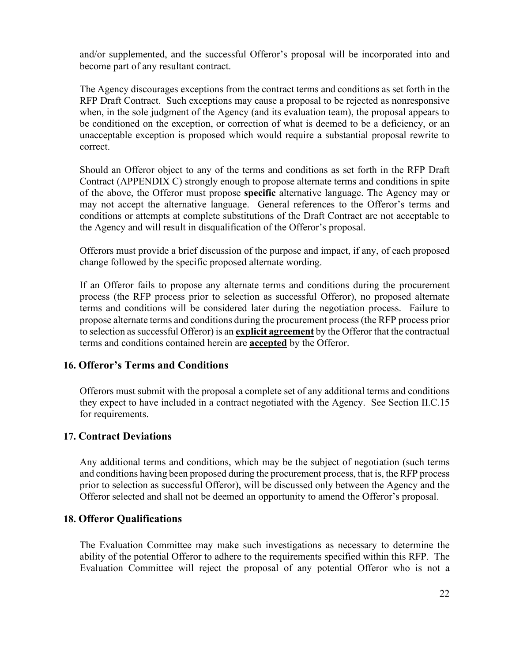and/or supplemented, and the successful Offeror's proposal will be incorporated into and become part of any resultant contract.

The Agency discourages exceptions from the contract terms and conditions as set forth in the RFP Draft Contract. Such exceptions may cause a proposal to be rejected as nonresponsive when, in the sole judgment of the Agency (and its evaluation team), the proposal appears to be conditioned on the exception, or correction of what is deemed to be a deficiency, or an unacceptable exception is proposed which would require a substantial proposal rewrite to correct.

Should an Offeror object to any of the terms and conditions as set forth in the RFP Draft Contract (APPENDIX C) strongly enough to propose alternate terms and conditions in spite of the above, the Offeror must propose **specific** alternative language. The Agency may or may not accept the alternative language. General references to the Offeror's terms and conditions or attempts at complete substitutions of the Draft Contract are not acceptable to the Agency and will result in disqualification of the Offeror's proposal.

Offerors must provide a brief discussion of the purpose and impact, if any, of each proposed change followed by the specific proposed alternate wording.

If an Offeror fails to propose any alternate terms and conditions during the procurement process (the RFP process prior to selection as successful Offeror), no proposed alternate terms and conditions will be considered later during the negotiation process. Failure to propose alternate terms and conditions during the procurement process (the RFP process prior to selection as successful Offeror) is an **explicit agreement** by the Offeror that the contractual terms and conditions contained herein are **accepted** by the Offeror.

## <span id="page-21-0"></span>**16. Offeror's Terms and Conditions**

Offerors must submit with the proposal a complete set of any additional terms and conditions they expect to have included in a contract negotiated with the Agency. See Section II.C.15 for requirements.

## <span id="page-21-1"></span>**17. Contract Deviations**

Any additional terms and conditions, which may be the subject of negotiation (such terms and conditions having been proposed during the procurement process, that is, the RFP process prior to selection as successful Offeror), will be discussed only between the Agency and the Offeror selected and shall not be deemed an opportunity to amend the Offeror's proposal.

## <span id="page-21-2"></span>**18. Offeror Qualifications**

The Evaluation Committee may make such investigations as necessary to determine the ability of the potential Offeror to adhere to the requirements specified within this RFP. The Evaluation Committee will reject the proposal of any potential Offeror who is not a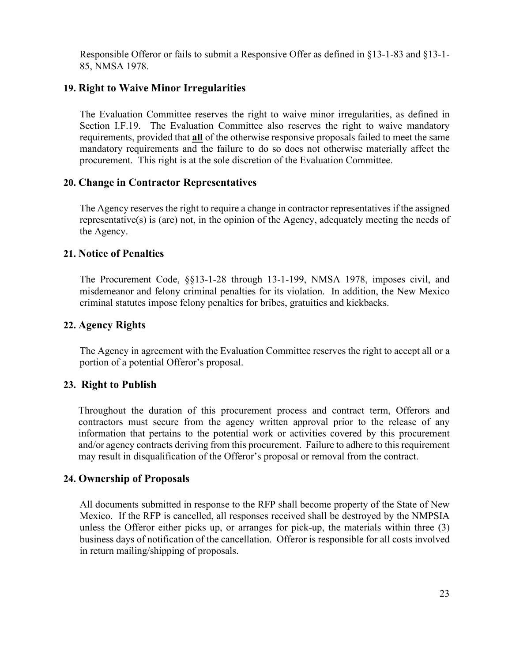Responsible Offeror or fails to submit a Responsive Offer as defined in §13-1-83 and §13-1- 85, NMSA 1978.

## <span id="page-22-0"></span>**19. Right to Waive Minor Irregularities**

The Evaluation Committee reserves the right to waive minor irregularities, as defined in Section I.F.19. The Evaluation Committee also reserves the right to waive mandatory requirements, provided that **all** of the otherwise responsive proposals failed to meet the same mandatory requirements and the failure to do so does not otherwise materially affect the procurement. This right is at the sole discretion of the Evaluation Committee.

## <span id="page-22-1"></span>**20. Change in Contractor Representatives**

The Agency reserves the right to require a change in contractor representatives if the assigned representative(s) is (are) not, in the opinion of the Agency, adequately meeting the needs of the Agency.

## <span id="page-22-2"></span>**21. Notice of Penalties**

The Procurement Code, §§13-1-28 through 13-1-199, NMSA 1978, imposes civil, and misdemeanor and felony criminal penalties for its violation. In addition, the New Mexico criminal statutes impose felony penalties for bribes, gratuities and kickbacks.

# <span id="page-22-3"></span>**22. Agency Rights**

The Agency in agreement with the Evaluation Committee reserves the right to accept all or a portion of a potential Offeror's proposal.

## <span id="page-22-4"></span>**23. Right to Publish**

Throughout the duration of this procurement process and contract term, Offerors and contractors must secure from the agency written approval prior to the release of any information that pertains to the potential work or activities covered by this procurement and/or agency contracts deriving from this procurement. Failure to adhere to this requirement may result in disqualification of the Offeror's proposal or removal from the contract.

## <span id="page-22-5"></span>**24. Ownership of Proposals**

All documents submitted in response to the RFP shall become property of the State of New Mexico. If the RFP is cancelled, all responses received shall be destroyed by the NMPSIA unless the Offeror either picks up, or arranges for pick-up, the materials within three (3) business days of notification of the cancellation. Offeror is responsible for all costs involved in return mailing/shipping of proposals.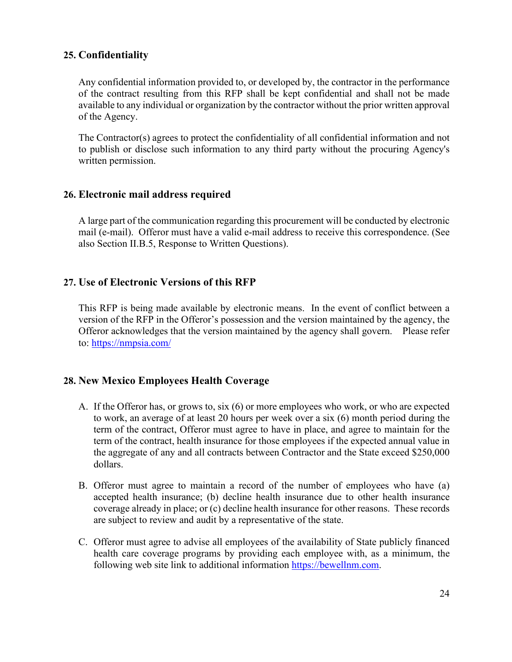# <span id="page-23-0"></span>**25. Confidentiality**

Any confidential information provided to, or developed by, the contractor in the performance of the contract resulting from this RFP shall be kept confidential and shall not be made available to any individual or organization by the contractor without the prior written approval of the Agency.

The Contractor(s) agrees to protect the confidentiality of all confidential information and not to publish or disclose such information to any third party without the procuring Agency's written permission.

## <span id="page-23-1"></span>**26. Electronic mail address required**

A large part of the communication regarding this procurement will be conducted by electronic mail (e-mail). Offeror must have a valid e-mail address to receive this correspondence. (See also Section II.B.5, Response to Written Questions).

# <span id="page-23-2"></span>**27. Use of Electronic Versions of this RFP**

This RFP is being made available by electronic means. In the event of conflict between a version of the RFP in the Offeror's possession and the version maintained by the agency, the Offeror acknowledges that the version maintained by the agency shall govern. Please refer to: <https://nmpsia.com/>

# <span id="page-23-3"></span>**28. New Mexico Employees Health Coverage**

- A. If the Offeror has, or grows to, six (6) or more employees who work, or who are expected to work, an average of at least 20 hours per week over a six (6) month period during the term of the contract, Offeror must agree to have in place, and agree to maintain for the term of the contract, health insurance for those employees if the expected annual value in the aggregate of any and all contracts between Contractor and the State exceed \$250,000 dollars.
- B. Offeror must agree to maintain a record of the number of employees who have (a) accepted health insurance; (b) decline health insurance due to other health insurance coverage already in place; or (c) decline health insurance for other reasons. These records are subject to review and audit by a representative of the state.
- C. Offeror must agree to advise all employees of the availability of State publicly financed health care coverage programs by providing each employee with, as a minimum, the following web site link to additional information [https://bewellnm.com.](https://bewellnm.com/)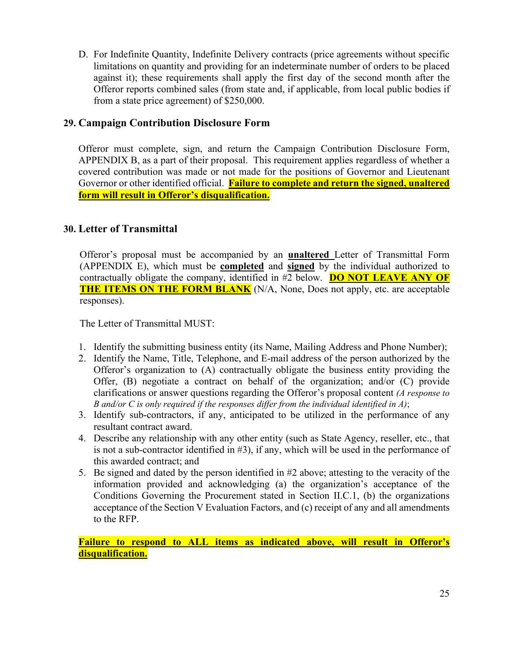D. For Indefinite Quantity, Indefinite Delivery contracts (price agreements without specific limitations on quantity and providing for an indeterminate number of orders to be placed against it); these requirements shall apply the first day of the second month after the Offeror reports combined sales (from state and, if applicable, from local public bodies if from a state price agreement) of \$250,000.

# <span id="page-24-0"></span>**29. Campaign Contribution Disclosure Form**

Offeror must complete, sign, and return the Campaign Contribution Disclosure Form, APPENDIX B, as a part of their proposal. This requirement applies regardless of whether a covered contribution was made or not made for the positions of Governor and Lieutenant Governor or other identified official. **Failure to complete and return the signed, unaltered form will result in Offeror's disqualification.**

# <span id="page-24-1"></span>**30. Letter of Transmittal**

Offeror's proposal must be accompanied by an **unaltered** Letter of Transmittal Form (APPENDIX E), which must be **completed** and **signed** by the individual authorized to contractually obligate the company, identified in #2 below. **DO NOT LEAVE ANY OF THE ITEMS ON THE FORM BLANK** (N/A, None, Does not apply, etc. are acceptable responses).

The Letter of Transmittal MUST:

- 1. Identify the submitting business entity (its Name, Mailing Address and Phone Number);
- 2. Identify the Name, Title, Telephone, and E-mail address of the person authorized by the Offeror's organization to (A) contractually obligate the business entity providing the Offer, (B) negotiate a contract on behalf of the organization; and/or (C) provide clarifications or answer questions regarding the Offeror's proposal content *(A response to B and/or C is only required if the responses differ from the individual identified in A)*;
- 3. Identify sub-contractors, if any, anticipated to be utilized in the performance of any resultant contract award.
- 4. Describe any relationship with any other entity (such as State Agency, reseller, etc., that is not a sub-contractor identified in #3), if any, which will be used in the performance of this awarded contract; and
- 5. Be signed and dated by the person identified in #2 above; attesting to the veracity of the information provided and acknowledging (a) the organization's acceptance of the Conditions Governing the Procurement stated in Section II.C.1, (b) the organizations acceptance of the Section V Evaluation Factors, and (c) receipt of any and all amendments to the RFP.

**Failure to respond to ALL items as indicated above, will result in Offeror's disqualification.**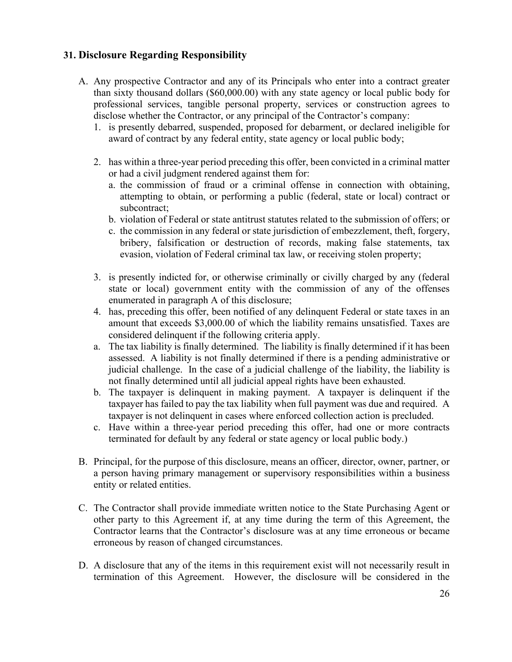# <span id="page-25-0"></span>**31. Disclosure Regarding Responsibility**

- A. Any prospective Contractor and any of its Principals who enter into a contract greater than sixty thousand dollars (\$60,000.00) with any state agency or local public body for professional services, tangible personal property, services or construction agrees to disclose whether the Contractor, or any principal of the Contractor's company:
	- 1. is presently debarred, suspended, proposed for debarment, or declared ineligible for award of contract by any federal entity, state agency or local public body;
	- 2. has within a three-year period preceding this offer, been convicted in a criminal matter or had a civil judgment rendered against them for:
		- a. the commission of fraud or a criminal offense in connection with obtaining, attempting to obtain, or performing a public (federal, state or local) contract or subcontract;
		- b. violation of Federal or state antitrust statutes related to the submission of offers; or
		- c. the commission in any federal or state jurisdiction of embezzlement, theft, forgery, bribery, falsification or destruction of records, making false statements, tax evasion, violation of Federal criminal tax law, or receiving stolen property;
	- 3. is presently indicted for, or otherwise criminally or civilly charged by any (federal state or local) government entity with the commission of any of the offenses enumerated in paragraph A of this disclosure;
	- 4. has, preceding this offer, been notified of any delinquent Federal or state taxes in an amount that exceeds \$3,000.00 of which the liability remains unsatisfied. Taxes are considered delinquent if the following criteria apply.
	- a. The tax liability is finally determined. The liability is finally determined if it has been assessed. A liability is not finally determined if there is a pending administrative or judicial challenge. In the case of a judicial challenge of the liability, the liability is not finally determined until all judicial appeal rights have been exhausted.
	- b. The taxpayer is delinquent in making payment. A taxpayer is delinquent if the taxpayer has failed to pay the tax liability when full payment was due and required. A taxpayer is not delinquent in cases where enforced collection action is precluded.
	- c. Have within a three-year period preceding this offer, had one or more contracts terminated for default by any federal or state agency or local public body.)
- B. Principal, for the purpose of this disclosure, means an officer, director, owner, partner, or a person having primary management or supervisory responsibilities within a business entity or related entities.
- C. The Contractor shall provide immediate written notice to the State Purchasing Agent or other party to this Agreement if, at any time during the term of this Agreement, the Contractor learns that the Contractor's disclosure was at any time erroneous or became erroneous by reason of changed circumstances.
- D. A disclosure that any of the items in this requirement exist will not necessarily result in termination of this Agreement. However, the disclosure will be considered in the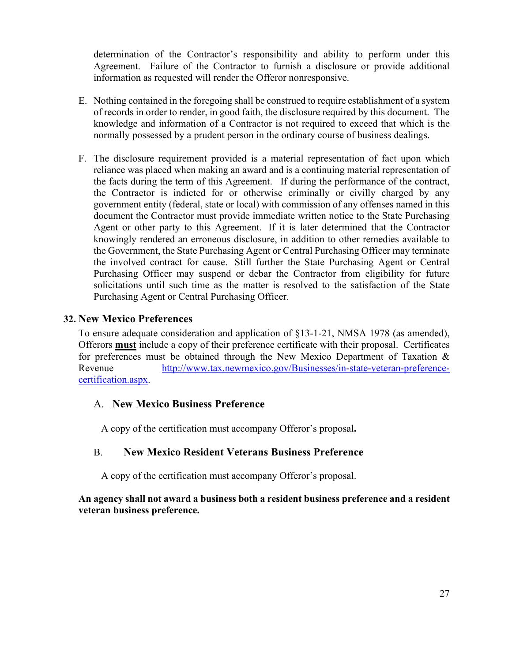determination of the Contractor's responsibility and ability to perform under this Agreement. Failure of the Contractor to furnish a disclosure or provide additional information as requested will render the Offeror nonresponsive.

- E. Nothing contained in the foregoing shall be construed to require establishment of a system of records in order to render, in good faith, the disclosure required by this document. The knowledge and information of a Contractor is not required to exceed that which is the normally possessed by a prudent person in the ordinary course of business dealings.
- F. The disclosure requirement provided is a material representation of fact upon which reliance was placed when making an award and is a continuing material representation of the facts during the term of this Agreement. If during the performance of the contract, the Contractor is indicted for or otherwise criminally or civilly charged by any government entity (federal, state or local) with commission of any offenses named in this document the Contractor must provide immediate written notice to the State Purchasing Agent or other party to this Agreement. If it is later determined that the Contractor knowingly rendered an erroneous disclosure, in addition to other remedies available to the Government, the State Purchasing Agent or Central Purchasing Officer may terminate the involved contract for cause. Still further the State Purchasing Agent or Central Purchasing Officer may suspend or debar the Contractor from eligibility for future solicitations until such time as the matter is resolved to the satisfaction of the State Purchasing Agent or Central Purchasing Officer.

# <span id="page-26-0"></span>**32. New Mexico Preferences**

To ensure adequate consideration and application of §13-1-21, NMSA 1978 (as amended), Offerors **must** include a copy of their preference certificate with their proposal. Certificates for preferences must be obtained through the New Mexico Department of Taxation & Revenue [http://www.tax.newmexico.gov/Businesses/in-state-veteran-preference](http://www.tax.newmexico.gov/Businesses/in-state-veteran-preference-certification.aspx)[certification.aspx.](http://www.tax.newmexico.gov/Businesses/in-state-veteran-preference-certification.aspx)

# A. **New Mexico Business Preference**

A copy of the certification must accompany Offeror's proposal**.**

# B. **New Mexico Resident Veterans Business Preference**

A copy of the certification must accompany Offeror's proposal.

### **An agency shall not award a business both a resident business preference and a resident veteran business preference.**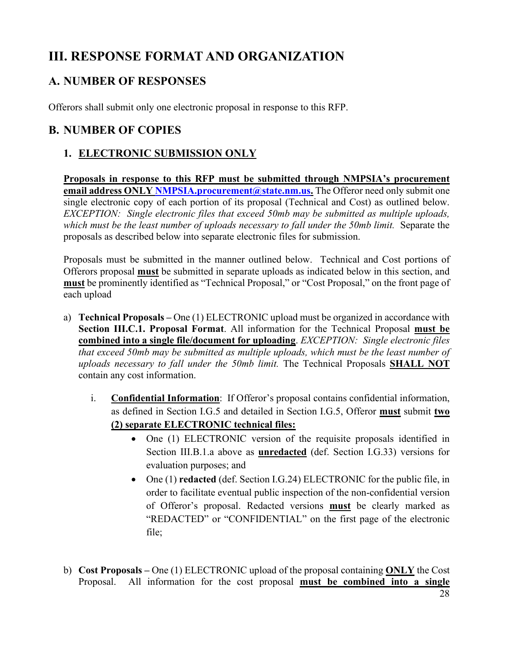# <span id="page-27-0"></span>**III. RESPONSE FORMAT AND ORGANIZATION**

# <span id="page-27-1"></span>**A. NUMBER OF RESPONSES**

<span id="page-27-2"></span>Offerors shall submit only one electronic proposal in response to this RFP.

# <span id="page-27-3"></span>**B. NUMBER OF COPIES**

# **1. ELECTRONIC SUBMISSION ONLY**

**Proposals in response to this RFP must be submitted through NMPSIA's procurement email address ONLY NMPSIA.procurement@state.nm.us.** The Offeror need only submit one single electronic copy of each portion of its proposal (Technical and Cost) as outlined below. *EXCEPTION: Single electronic files that exceed 50mb may be submitted as multiple uploads, which must be the least number of uploads necessary to fall under the 50mb limit.* Separate the proposals as described below into separate electronic files for submission.

Proposals must be submitted in the manner outlined below. Technical and Cost portions of Offerors proposal **must** be submitted in separate uploads as indicated below in this section, and **must** be prominently identified as "Technical Proposal," or "Cost Proposal," on the front page of each upload

- a) **Technical Proposals –** One (1) ELECTRONIC upload must be organized in accordance with **Section III.C.1. Proposal Format**. All information for the Technical Proposal **must be combined into a single file/document for uploading**. *EXCEPTION: Single electronic files that exceed 50mb may be submitted as multiple uploads, which must be the least number of uploads necessary to fall under the 50mb limit.* The Technical Proposals **SHALL NOT** contain any cost information.
	- i. **Confidential Information**: If Offeror's proposal contains confidential information, as defined in Section I.G.5 and detailed in Section I.G.5, Offeror **must** submit **two (2) separate ELECTRONIC technical files:**
		- One (1) ELECTRONIC version of the requisite proposals identified in Section III.B.1.a above as **unredacted** (def. Section I.G.33) versions for evaluation purposes; and
		- One (1) **redacted** (def. Section I.G.24) ELECTRONIC for the public file, in order to facilitate eventual public inspection of the non-confidential version of Offeror's proposal. Redacted versions **must** be clearly marked as "REDACTED" or "CONFIDENTIAL" on the first page of the electronic file;
- b) **Cost Proposals –** One (1) ELECTRONIC upload of the proposal containing **ONLY** the Cost Proposal. All information for the cost proposal **must be combined into a single**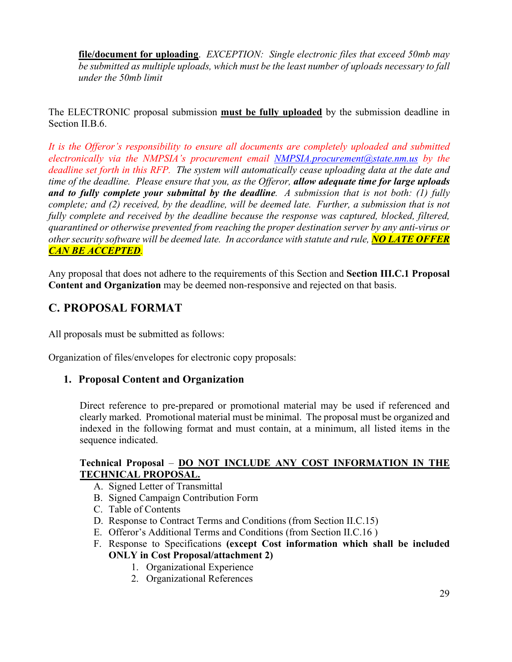**file/document for uploading**. *EXCEPTION: Single electronic files that exceed 50mb may be submitted as multiple uploads, which must be the least number of uploads necessary to fall under the 50mb limit*

# The ELECTRONIC proposal submission **must be fully uploaded** by the submission deadline in Section II.B.6.

*It is the Offeror's responsibility to ensure all documents are completely uploaded and submitted electronically via the NMPSIA's procurement email NMPSIA.procurement@state.nm.us by the deadline set forth in this RFP. The system will automatically cease uploading data at the date and time of the deadline. Please ensure that you, as the Offeror, allow adequate time for large uploads and to fully complete your submittal by the deadline. A submission that is not both: (1) fully complete; and (2) received, by the deadline, will be deemed late. Further, a submission that is not fully complete and received by the deadline because the response was captured, blocked, filtered, quarantined or otherwise prevented from reaching the proper destination server by any anti-virus or other security software will be deemed late. In accordance with statute and rule, NO LATE OFFER CAN BE ACCEPTED.*

Any proposal that does not adhere to the requirements of this Section and **Section III.C.1 Proposal Content and Organization** may be deemed non-responsive and rejected on that basis.

# <span id="page-28-0"></span>**C. PROPOSAL FORMAT**

All proposals must be submitted as follows:

<span id="page-28-1"></span>Organization of files/envelopes for electronic copy proposals:

# **1. Proposal Content and Organization**

Direct reference to pre-prepared or promotional material may be used if referenced and clearly marked. Promotional material must be minimal. The proposal must be organized and indexed in the following format and must contain, at a minimum, all listed items in the sequence indicated.

## **Technical Proposal** – **DO NOT INCLUDE ANY COST INFORMATION IN THE TECHNICAL PROPOSAL.**

- A. Signed Letter of Transmittal
- B. Signed Campaign Contribution Form
- C. Table of Contents
- D. Response to Contract Terms and Conditions (from Section II.C.15)
- E. Offeror's Additional Terms and Conditions (from Section II.C.16 )
- F. Response to Specifications **(except Cost information which shall be included ONLY in Cost Proposal/attachment 2)** 
	- 1. Organizational Experience
	- 2. Organizational References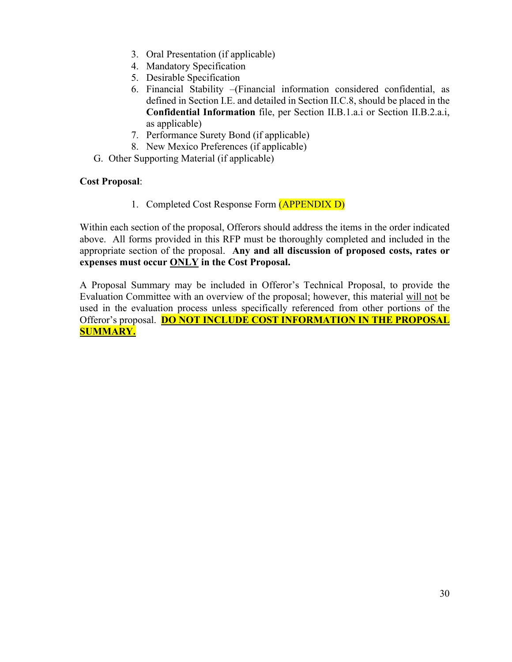- 3. Oral Presentation (if applicable)
- 4. Mandatory Specification
- 5. Desirable Specification
- 6. Financial Stability –(Financial information considered confidential, as defined in Section I.E. and detailed in Section II.C.8, should be placed in the **Confidential Information** file, per Section II.B.1.a.i or Section II.B.2.a.i, as applicable)
- 7. Performance Surety Bond (if applicable)
- 8. New Mexico Preferences (if applicable)
- G. Other Supporting Material (if applicable)

# **Cost Proposal**:

1. Completed Cost Response Form (APPENDIX D)

Within each section of the proposal, Offerors should address the items in the order indicated above. All forms provided in this RFP must be thoroughly completed and included in the appropriate section of the proposal. **Any and all discussion of proposed costs, rates or expenses must occur ONLY in the Cost Proposal.**

A Proposal Summary may be included in Offeror's Technical Proposal, to provide the Evaluation Committee with an overview of the proposal; however, this material will not be used in the evaluation process unless specifically referenced from other portions of the Offeror's proposal. **DO NOT INCLUDE COST INFORMATION IN THE PROPOSAL SUMMARY.**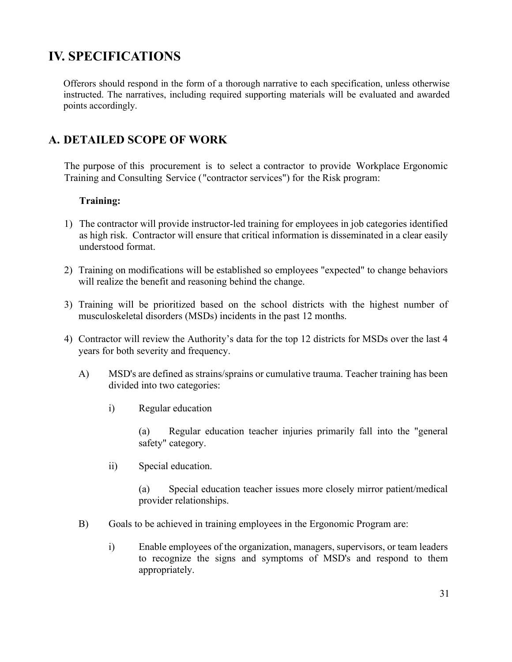# <span id="page-30-0"></span>**IV. SPECIFICATIONS**

Offerors should respond in the form of a thorough narrative to each specification, unless otherwise instructed. The narratives, including required supporting materials will be evaluated and awarded points accordingly.

# <span id="page-30-1"></span>**A. DETAILED SCOPE OF WORK**

The purpose of this procurement is to select a contractor to provide Workplace Ergonomic Training and Consulting Service ("contractor services") for the Risk program:

# **Training:**

- 1) The contractor will provide instructor-led training for employees in job categories identified as high risk. Contractor will ensure that critical information is disseminated in a clear easily understood format.
- 2) Training on modifications will be established so employees "expected" to change behaviors will realize the benefit and reasoning behind the change.
- 3) Training will be prioritized based on the school districts with the highest number of musculoskeletal disorders (MSDs) incidents in the past 12 months.
- 4) Contractor will review the Authority's data for the top 12 districts for MSDs over the last 4 years for both severity and frequency.
	- A) MSD's are defined as strains/sprains or cumulative trauma. Teacher training has been divided into two categories:
		- i) Regular education

(a) Regular education teacher injuries primarily fall into the "general safety" category.

ii) Special education.

(a) Special education teacher issues more closely mirror patient/medical provider relationships.

- B) Goals to be achieved in training employees in the Ergonomic Program are:
	- i) Enable employees of the organization, managers, supervisors, or team leaders to recognize the signs and symptoms of MSD's and respond to them appropriately.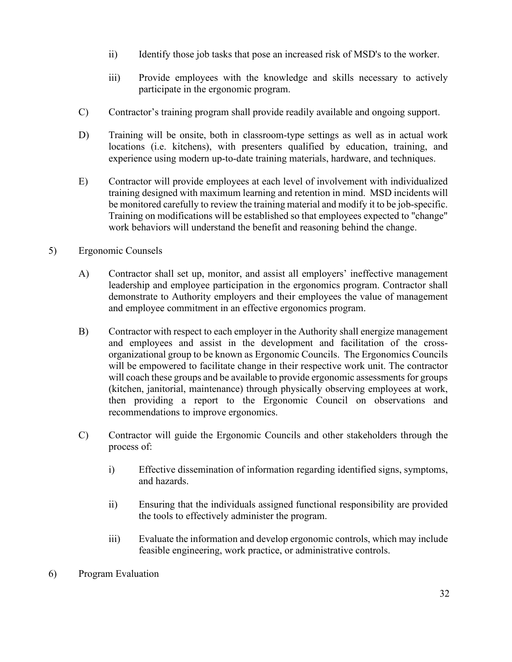- ii) Identify those job tasks that pose an increased risk of MSD's to the worker.
- iii) Provide employees with the knowledge and skills necessary to actively participate in the ergonomic program.
- C) Contractor's training program shall provide readily available and ongoing support.
- D) Training will be onsite, both in classroom-type settings as well as in actual work locations (i.e. kitchens), with presenters qualified by education, training, and experience using modern up-to-date training materials, hardware, and techniques.
- E) Contractor will provide employees at each level of involvement with individualized training designed with maximum learning and retention in mind. MSD incidents will be monitored carefully to review the training material and modify it to be job-specific. Training on modifications will be established so that employees expected to "change" work behaviors will understand the benefit and reasoning behind the change.

# 5) Ergonomic Counsels

- A) Contractor shall set up, monitor, and assist all employers' ineffective management leadership and employee participation in the ergonomics program. Contractor shall demonstrate to Authority employers and their employees the value of management and employee commitment in an effective ergonomics program.
- B) Contractor with respect to each employer in the Authority shall energize management and employees and assist in the development and facilitation of the crossorganizational group to be known as Ergonomic Councils. The Ergonomics Councils will be empowered to facilitate change in their respective work unit. The contractor will coach these groups and be available to provide ergonomic assessments for groups (kitchen, janitorial, maintenance) through physically observing employees at work, then providing a report to the Ergonomic Council on observations and recommendations to improve ergonomics.
- C) Contractor will guide the Ergonomic Councils and other stakeholders through the process of:
	- i) Effective dissemination of information regarding identified signs, symptoms, and hazards.
	- ii) Ensuring that the individuals assigned functional responsibility are provided the tools to effectively administer the program.
	- iii) Evaluate the information and develop ergonomic controls, which may include feasible engineering, work practice, or administrative controls.
- 6) Program Evaluation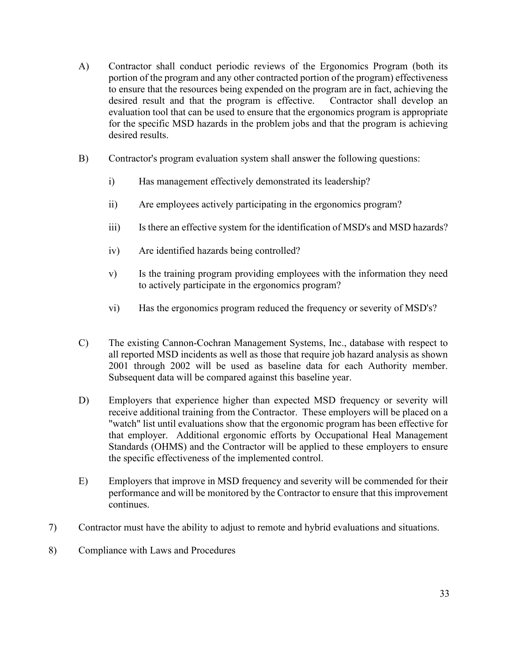- A) Contractor shall conduct periodic reviews of the Ergonomics Program (both its portion of the program and any other contracted portion of the program) effectiveness to ensure that the resources being expended on the program are in fact, achieving the desired result and that the program is effective. Contractor shall develop an evaluation tool that can be used to ensure that the ergonomics program is appropriate for the specific MSD hazards in the problem jobs and that the program is achieving desired results.
- B) Contractor's program evaluation system shall answer the following questions:
	- i) Has management effectively demonstrated its leadership?
	- ii) Are employees actively participating in the ergonomics program?
	- iii) Is there an effective system for the identification of MSD's and MSD hazards?
	- iv) Are identified hazards being controlled?
	- v) Is the training program providing employees with the information they need to actively participate in the ergonomics program?
	- vi) Has the ergonomics program reduced the frequency or severity of MSD's?
- C) The existing Cannon-Cochran Management Systems, Inc., database with respect to all reported MSD incidents as well as those that require job hazard analysis as shown 2001 through 2002 will be used as baseline data for each Authority member. Subsequent data will be compared against this baseline year.
- D) Employers that experience higher than expected MSD frequency or severity will receive additional training from the Contractor. These employers will be placed on a "watch" list until evaluations show that the ergonomic program has been effective for that employer. Additional ergonomic efforts by Occupational Heal Management Standards (OHMS) and the Contractor will be applied to these employers to ensure the specific effectiveness of the implemented control.
- E) Employers that improve in MSD frequency and severity will be commended for their performance and will be monitored by the Contractor to ensure that this improvement continues.
- 7) Contractor must have the ability to adjust to remote and hybrid evaluations and situations.
- 8) Compliance with Laws and Procedures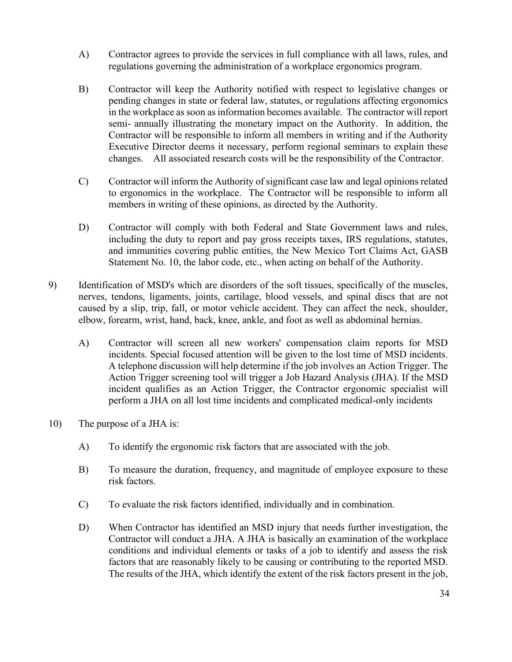- A) Contractor agrees to provide the services in full compliance with all laws, rules, and regulations governing the administration of a workplace ergonomics program.
- B) Contractor will keep the Authority notified with respect to legislative changes or pending changes in state or federal law, statutes, or regulations affecting ergonomics in the workplace as soon as information becomes available. The contractor will report semi- annually illustrating the monetary impact on the Authority. In addition, the Contractor will be responsible to inform all members in writing and if the Authority Executive Director deems it necessary, perform regional seminars to explain these changes. All associated research costs will be the responsibility of the Contractor.
- C) Contractor will inform the Authority of significant case law and legal opinions related to ergonomics in the workplace. The Contractor will be responsible to inform all members in writing of these opinions, as directed by the Authority.
- D) Contractor will comply with both Federal and State Government laws and rules, including the duty to report and pay gross receipts taxes, IRS regulations, statutes, and immunities covering public entities, the New Mexico Tort Claims Act, GASB Statement No. 10, the labor code, etc., when acting on behalf of the Authority.
- 9) Identification of MSD's which are disorders of the soft tissues, specifically of the muscles, nerves, tendons, ligaments, joints, cartilage, blood vessels, and spinal discs that are not caused by a slip, trip, fall, or motor vehicle accident. They can affect the neck, shoulder, elbow, forearm, wrist, hand, back, knee, ankle, and foot as well as abdominal hernias.
	- A) Contractor will screen all new workers' compensation claim reports for MSD incidents. Special focused attention will be given to the lost time of MSD incidents. A telephone discussion will help determine if the job involves an Action Trigger. The Action Trigger screening tool will trigger a Job Hazard Analysis (JHA). If the MSD incident qualifies as an Action Trigger, the Contractor ergonomic specialist will perform a JHA on all lost time incidents and complicated medical-only incidents
- 10) The purpose of a JHA is:
	- A) To identify the ergonomic risk factors that are associated with the job.
	- B) To measure the duration, frequency, and magnitude of employee exposure to these risk factors.
	- C) To evaluate the risk factors identified, individually and in combination.
	- D) When Contractor has identified an MSD injury that needs further investigation, the Contractor will conduct a JHA. A JHA is basically an examination of the workplace conditions and individual elements or tasks of a job to identify and assess the risk factors that are reasonably likely to be causing or contributing to the reported MSD. The results of the JHA, which identify the extent of the risk factors present in the job,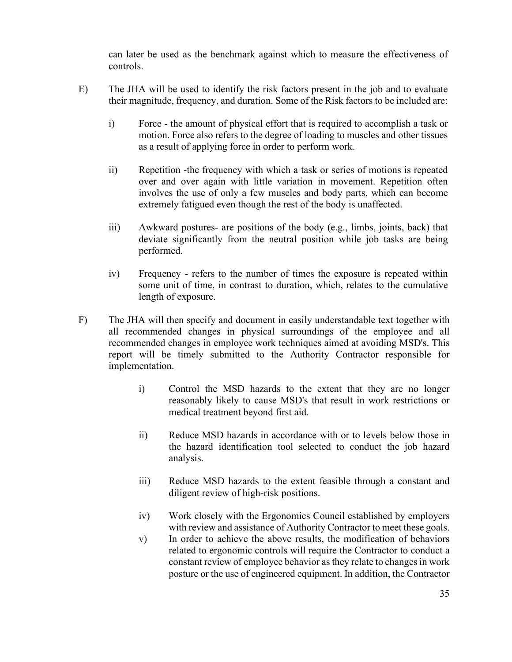can later be used as the benchmark against which to measure the effectiveness of controls.

- E) The JHA will be used to identify the risk factors present in the job and to evaluate their magnitude, frequency, and duration. Some of the Risk factors to be included are:
	- i) Force the amount of physical effort that is required to accomplish a task or motion. Force also refers to the degree of loading to muscles and other tissues as a result of applying force in order to perform work.
	- ii) Repetition -the frequency with which a task or series of motions is repeated over and over again with little variation in movement. Repetition often involves the use of only a few muscles and body parts, which can become extremely fatigued even though the rest of the body is unaffected.
	- iii) Awkward postures- are positions of the body (e.g., limbs, joints, back) that deviate significantly from the neutral position while job tasks are being performed.
	- iv) Frequency refers to the number of times the exposure is repeated within some unit of time, in contrast to duration, which, relates to the cumulative length of exposure.
- F) The JHA will then specify and document in easily understandable text together with all recommended changes in physical surroundings of the employee and all recommended changes in employee work techniques aimed at avoiding MSD's. This report will be timely submitted to the Authority Contractor responsible for implementation.
	- i) Control the MSD hazards to the extent that they are no longer reasonably likely to cause MSD's that result in work restrictions or medical treatment beyond first aid.
	- ii) Reduce MSD hazards in accordance with or to levels below those in the hazard identification tool selected to conduct the job hazard analysis.
	- iii) Reduce MSD hazards to the extent feasible through a constant and diligent review of high-risk positions.
	- iv) Work closely with the Ergonomics Council established by employers with review and assistance of Authority Contractor to meet these goals.
	- v) In order to achieve the above results, the modification of behaviors related to ergonomic controls will require the Contractor to conduct a constant review of employee behavior as they relate to changes in work posture or the use of engineered equipment. In addition, the Contractor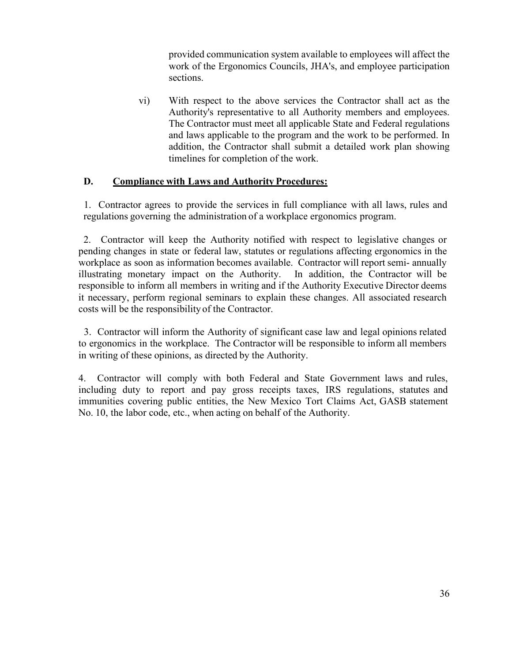provided communication system available to employees will affect the work of the Ergonomics Councils, JHA's, and employee participation sections.

vi) With respect to the above services the Contractor shall act as the Authority's representative to all Authority members and employees. The Contractor must meet all applicable State and Federal regulations and laws applicable to the program and the work to be performed. In addition, the Contractor shall submit a detailed work plan showing timelines for completion of the work.

## **D. Compliance with Laws and Authority Procedures:**

1. Contractor agrees to provide the services in full compliance with all laws, rules and regulations governing the administration of a workplace ergonomics program.

2. Contractor will keep the Authority notified with respect to legislative changes or pending changes in state or federal law, statutes or regulations affecting ergonomics in the workplace as soon as information becomes available. Contractor will report semi- annually illustrating monetary impact on the Authority. In addition, the Contractor will be responsible to inform all members in writing and if the Authority Executive Director deems it necessary, perform regional seminars to explain these changes. All associated research costs will be the responsibility of the Contractor.

3. Contractor will inform the Authority of significant case law and legal opinions related to ergonomics in the workplace. The Contractor will be responsible to inform all members in writing of these opinions, as directed by the Authority.

4. Contractor will comply with both Federal and State Government laws and rules, including duty to report and pay gross receipts taxes, IRS regulations, statutes and immunities covering public entities, the New Mexico Tort Claims Act, GASB statement No. 10, the labor code, etc., when acting on behalf of the Authority.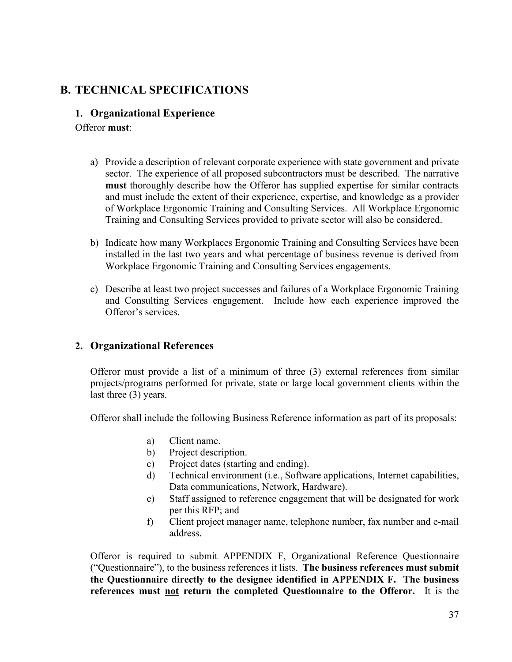### **B. TECHNICAL SPECIFICATIONS**

#### **1. Organizational Experience**

Offeror **must**:

- a) Provide a description of relevant corporate experience with state government and private sector. The experience of all proposed subcontractors must be described. The narrative **must** thoroughly describe how the Offeror has supplied expertise for similar contracts and must include the extent of their experience, expertise, and knowledge as a provider of Workplace Ergonomic Training and Consulting Services. All Workplace Ergonomic Training and Consulting Services provided to private sector will also be considered.
- b) Indicate how many Workplaces Ergonomic Training and Consulting Services have been installed in the last two years and what percentage of business revenue is derived from Workplace Ergonomic Training and Consulting Services engagements.
- c) Describe at least two project successes and failures of a Workplace Ergonomic Training and Consulting Services engagement. Include how each experience improved the Offeror's services.

#### **2. Organizational References**

Offeror must provide a list of a minimum of three (3) external references from similar projects/programs performed for private, state or large local government clients within the last three (3) years.

Offeror shall include the following Business Reference information as part of its proposals:

- a) Client name.
- b) Project description.
- c) Project dates (starting and ending).
- d) Technical environment (i.e., Software applications, Internet capabilities, Data communications, Network, Hardware).
- e) Staff assigned to reference engagement that will be designated for work per this RFP; and
- f) Client project manager name, telephone number, fax number and e-mail address.

Offeror is required to submit APPENDIX F, Organizational Reference Questionnaire ("Questionnaire"), to the business references it lists. **The business references must submit the Questionnaire directly to the designee identified in APPENDIX F. The business references must not return the completed Questionnaire to the Offeror.** It is the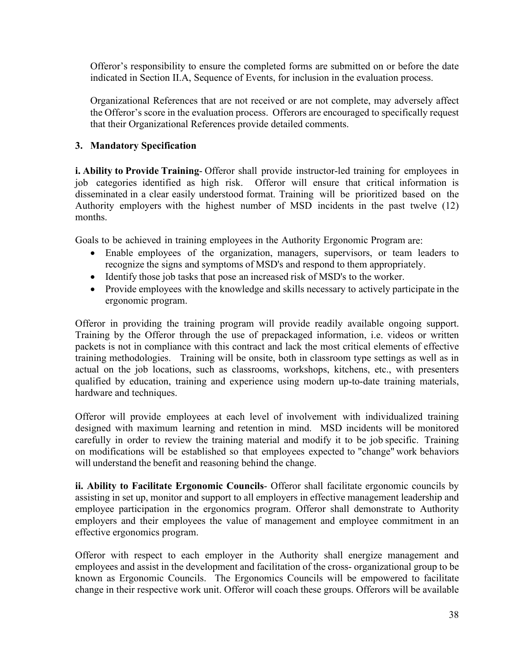Offeror's responsibility to ensure the completed forms are submitted on or before the date indicated in Section II.A, Sequence of Events, for inclusion in the evaluation process.

Organizational References that are not received or are not complete, may adversely affect the Offeror's score in the evaluation process. Offerors are encouraged to specifically request that their Organizational References provide detailed comments.

#### **3. Mandatory Specification**

**i. Ability to Provide Training**- Offeror shall provide instructor-led training for employees in job categories identified as high risk. Offeror will ensure that critical information is disseminated in a clear easily understood format. Training will be prioritized based on the Authority employers with the highest number of MSD incidents in the past twelve (12) months.

Goals to be achieved in training employees in the Authority Ergonomic Program are:

- Enable employees of the organization, managers, supervisors, or team leaders to recognize the signs and symptoms of MSD's and respond to them appropriately.
- Identify those job tasks that pose an increased risk of MSD's to the worker.
- Provide employees with the knowledge and skills necessary to actively participate in the ergonomic program.

Offeror in providing the training program will provide readily available ongoing support. Training by the Offeror through the use of prepackaged information, i.e. videos or written packets is not in compliance with this contract and lack the most critical elements of effective training methodologies. Training will be onsite, both in classroom type settings as well as in actual on the job locations, such as classrooms, workshops, kitchens, etc., with presenters qualified by education, training and experience using modern up-to-date training materials, hardware and techniques.

Offeror will provide employees at each level of involvement with individualized training designed with maximum learning and retention in mind. MSD incidents will be monitored carefully in order to review the training material and modify it to be job specific. Training on modifications will be established so that employees expected to "change" work behaviors will understand the benefit and reasoning behind the change.

**ii. Ability to Facilitate Ergonomic Councils**- Offeror shall facilitate ergonomic councils by assisting in set up, monitor and support to all employers in effective management leadership and employee participation in the ergonomics program. Offeror shall demonstrate to Authority employers and their employees the value of management and employee commitment in an effective ergonomics program.

Offeror with respect to each employer in the Authority shall energize management and employees and assist in the development and facilitation of the cross- organizational group to be known as Ergonomic Councils. The Ergonomics Councils will be empowered to facilitate change in their respective work unit. Offeror will coach these groups. Offerors will be available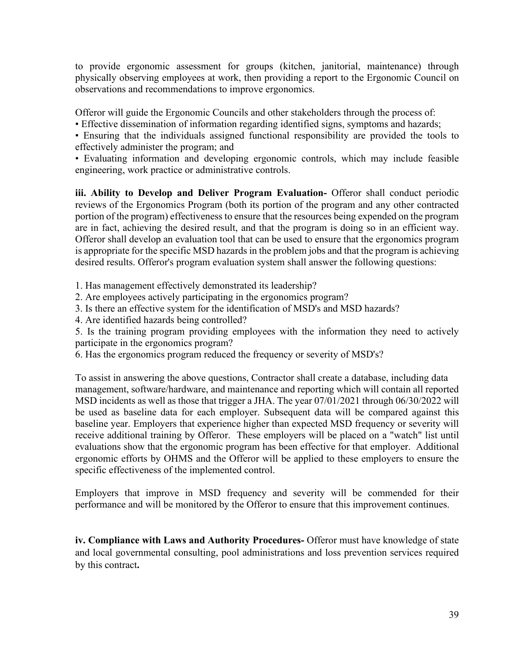to provide ergonomic assessment for groups (kitchen, janitorial, maintenance) through physically observing employees at work, then providing a report to the Ergonomic Council on observations and recommendations to improve ergonomics.

Offeror will guide the Ergonomic Councils and other stakeholders through the process of:

• Effective dissemination of information regarding identified signs, symptoms and hazards;

• Ensuring that the individuals assigned functional responsibility are provided the tools to effectively administer the program; and

• Evaluating information and developing ergonomic controls, which may include feasible engineering, work practice or administrative controls.

**iii. Ability to Develop and Deliver Program Evaluation-** Offeror shall conduct periodic reviews of the Ergonomics Program (both its portion of the program and any other contracted portion of the program) effectiveness to ensure that the resources being expended on the program are in fact, achieving the desired result, and that the program is doing so in an efficient way. Offeror shall develop an evaluation tool that can be used to ensure that the ergonomics program is appropriate for the specific MSD hazards in the problem jobs and that the program is achieving desired results. Offeror's program evaluation system shall answer the following questions:

1. Has management effectively demonstrated its leadership?

2. Are employees actively participating in the ergonomics program?

3. Is there an effective system for the identification of MSD's and MSD hazards?

4. Are identified hazards being controlled?

5. Is the training program providing employees with the information they need to actively participate in the ergonomics program?

6. Has the ergonomics program reduced the frequency or severity of MSD's?

To assist in answering the above questions, Contractor shall create a database, including data management, software/hardware, and maintenance and reporting which will contain all reported MSD incidents as well as those that trigger a JHA. The year 07/01/2021 through 06/30/2022 will be used as baseline data for each employer. Subsequent data will be compared against this baseline year. Employers that experience higher than expected MSD frequency or severity will receive additional training by Offeror. These employers will be placed on a "watch" list until evaluations show that the ergonomic program has been effective for that employer. Additional ergonomic efforts by OHMS and the Offeror will be applied to these employers to ensure the specific effectiveness of the implemented control.

Employers that improve in MSD frequency and severity will be commended for their performance and will be monitored by the Offeror to ensure that this improvement continues.

**iv. Compliance with Laws and Authority Procedures-** Offeror must have knowledge of state and local governmental consulting, pool administrations and loss prevention services required by this contract**.**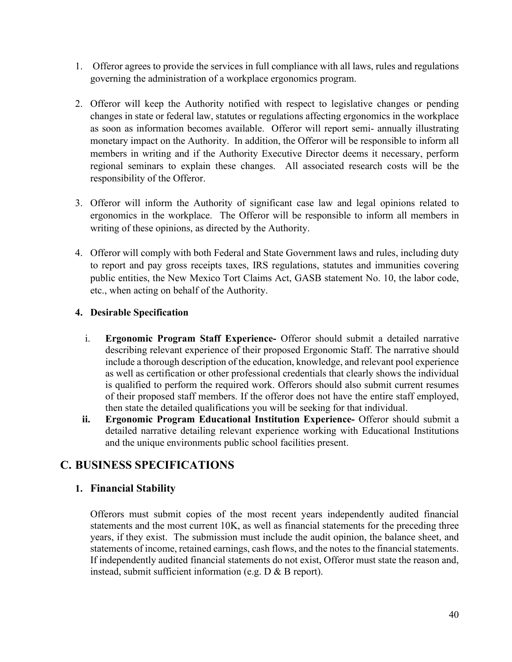- 1. Offeror agrees to provide the services in full compliance with all laws, rules and regulations governing the administration of a workplace ergonomics program.
- 2. Offeror will keep the Authority notified with respect to legislative changes or pending changes in state or federal law, statutes or regulations affecting ergonomics in the workplace as soon as information becomes available. Offeror will report semi- annually illustrating monetary impact on the Authority. In addition, the Offeror will be responsible to inform all members in writing and if the Authority Executive Director deems it necessary, perform regional seminars to explain these changes. All associated research costs will be the responsibility of the Offeror.
- 3. Offeror will inform the Authority of significant case law and legal opinions related to ergonomics in the workplace. The Offeror will be responsible to inform all members in writing of these opinions, as directed by the Authority.
- 4. Offeror will comply with both Federal and State Government laws and rules, including duty to report and pay gross receipts taxes, IRS regulations, statutes and immunities covering public entities, the New Mexico Tort Claims Act, GASB statement No. 10, the labor code, etc., when acting on behalf of the Authority.

#### **4. Desirable Specification**

- i. **Ergonomic Program Staff Experience-** Offeror should submit a detailed narrative describing relevant experience of their proposed Ergonomic Staff. The narrative should include a thorough description of the education, knowledge, and relevant pool experience as well as certification or other professional credentials that clearly shows the individual is qualified to perform the required work. Offerors should also submit current resumes of their proposed staff members. If the offeror does not have the entire staff employed, then state the detailed qualifications you will be seeking for that individual.
- **ii. Ergonomic Program Educational Institution Experience-** Offeror should submit a detailed narrative detailing relevant experience working with Educational Institutions and the unique environments public school facilities present.

### **C. BUSINESS SPECIFICATIONS**

#### **1. Financial Stability**

Offerors must submit copies of the most recent years independently audited financial statements and the most current 10K, as well as financial statements for the preceding three years, if they exist. The submission must include the audit opinion, the balance sheet, and statements of income, retained earnings, cash flows, and the notes to the financial statements. If independently audited financial statements do not exist, Offeror must state the reason and, instead, submit sufficient information (e.g. D & B report).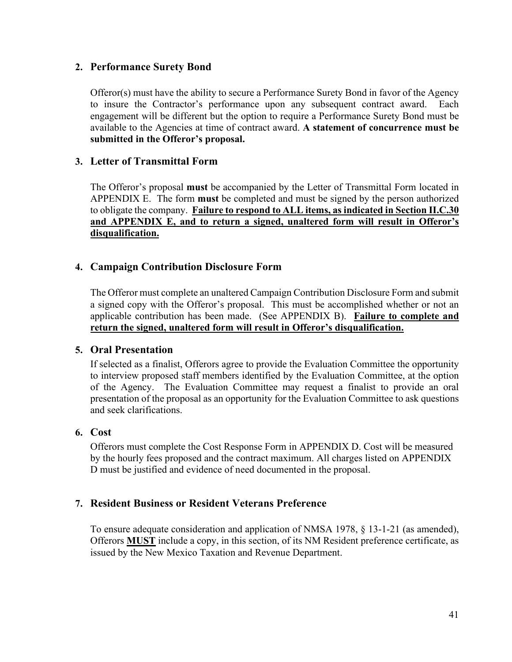#### **2. Performance Surety Bond**

Offeror(s) must have the ability to secure a Performance Surety Bond in favor of the Agency to insure the Contractor's performance upon any subsequent contract award.Each engagement will be different but the option to require a Performance Surety Bond must be available to the Agencies at time of contract award. **A statement of concurrence must be submitted in the Offeror's proposal.**

#### **3. Letter of Transmittal Form**

The Offeror's proposal **must** be accompanied by the Letter of Transmittal Form located in APPENDIX E. The form **must** be completed and must be signed by the person authorized to obligate the company. **Failure to respond to ALL items, as indicated in Section II.C.30 and APPENDIX E, and to return a signed, unaltered form will result in Offeror's disqualification.**

#### **4. Campaign Contribution Disclosure Form**

The Offeror must complete an unaltered Campaign Contribution Disclosure Form and submit a signed copy with the Offeror's proposal. This must be accomplished whether or not an applicable contribution has been made. (See APPENDIX B). **Failure to complete and return the signed, unaltered form will result in Offeror's disqualification.**

#### **5. Oral Presentation**

If selected as a finalist, Offerors agree to provide the Evaluation Committee the opportunity to interview proposed staff members identified by the Evaluation Committee, at the option of the Agency. The Evaluation Committee may request a finalist to provide an oral presentation of the proposal as an opportunity for the Evaluation Committee to ask questions and seek clarifications.

#### **6. Cost**

Offerors must complete the Cost Response Form in APPENDIX D. Cost will be measured by the hourly fees proposed and the contract maximum. All charges listed on APPENDIX D must be justified and evidence of need documented in the proposal.

#### **7. Resident Business or Resident Veterans Preference**

To ensure adequate consideration and application of NMSA 1978, § 13-1-21 (as amended), Offerors **MUST** include a copy, in this section, of its NM Resident preference certificate, as issued by the New Mexico Taxation and Revenue Department.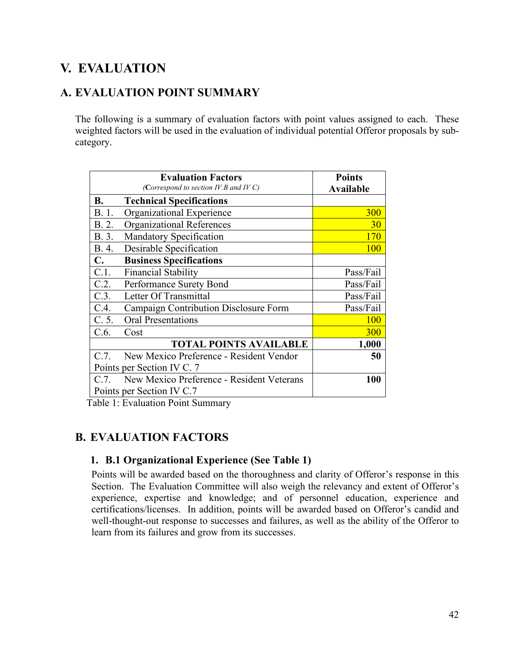# **V. EVALUATION**

### **A. EVALUATION POINT SUMMARY**

The following is a summary of evaluation factors with point values assigned to each. These weighted factors will be used in the evaluation of individual potential Offeror proposals by subcategory.

|           | <b>Evaluation Factors</b>                 | <b>Points</b>    |
|-----------|-------------------------------------------|------------------|
|           | (Correspond to section IV.B and IV C)     | <b>Available</b> |
| <b>B.</b> | <b>Technical Specifications</b>           |                  |
| B. 1.     | Organizational Experience                 | 300              |
| B. 2.     | <b>Organizational References</b>          | 30               |
| B. 3.     | Mandatory Specification                   | <b>170</b>       |
| B. 4.     | Desirable Specification                   | 100              |
| C.        | <b>Business Specifications</b>            |                  |
| C.1.      | <b>Financial Stability</b>                | Pass/Fail        |
| C.2.      | Performance Surety Bond                   | Pass/Fail        |
| C.3.      | Letter Of Transmittal                     | Pass/Fail        |
| C.4.      | Campaign Contribution Disclosure Form     | Pass/Fail        |
| C. 5.     | <b>Oral Presentations</b>                 | <b>100</b>       |
| C.6.      | Cost                                      | 300              |
|           | <b>TOTAL POINTS AVAILABLE</b>             | 1,000            |
| C.7.      | New Mexico Preference - Resident Vendor   | 50               |
|           | Points per Section IV C. 7                |                  |
| C.7.      | New Mexico Preference - Resident Veterans | <b>100</b>       |
|           | Points per Section IV C.7                 |                  |

Table 1: Evaluation Point Summary

### **B. EVALUATION FACTORS**

### **1. B.1 Organizational Experience (See Table 1)**

Points will be awarded based on the thoroughness and clarity of Offeror's response in this Section. The Evaluation Committee will also weigh the relevancy and extent of Offeror's experience, expertise and knowledge; and of personnel education, experience and certifications/licenses. In addition, points will be awarded based on Offeror's candid and well-thought-out response to successes and failures, as well as the ability of the Offeror to learn from its failures and grow from its successes.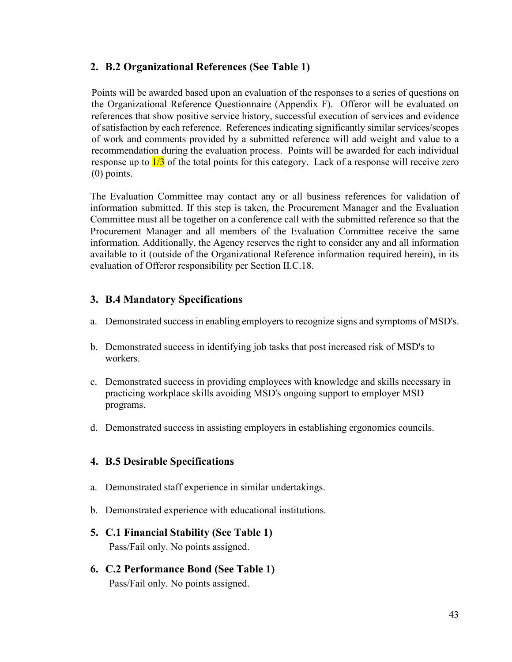#### **2. B.2 Organizational References (See Table 1)**

Points will be awarded based upon an evaluation of the responses to a series of questions on the Organizational Reference Questionnaire (Appendix F). Offeror will be evaluated on references that show positive service history, successful execution of services and evidence of satisfaction by each reference. References indicating significantly similar services/scopes of work and comments provided by a submitted reference will add weight and value to a recommendation during the evaluation process. Points will be awarded for each individual response up to  $\frac{1}{3}$  of the total points for this category. Lack of a response will receive zero (0) points.

The Evaluation Committee may contact any or all business references for validation of information submitted. If this step is taken, the Procurement Manager and the Evaluation Committee must all be together on a conference call with the submitted reference so that the Procurement Manager and all members of the Evaluation Committee receive the same information. Additionally, the Agency reserves the right to consider any and all information available to it (outside of the Organizational Reference information required herein), in its evaluation of Offeror responsibility per Section II.C.18.

#### **3. B.4 Mandatory Specifications**

- a. Demonstrated success in enabling employers to recognize signs and symptoms of MSD's.
- b. Demonstrated success in identifying job tasks that post increased risk of MSD's to workers.
- c. Demonstrated success in providing employees with knowledge and skills necessary in practicing workplace skills avoiding MSD's ongoing support to employer MSD programs.
- d. Demonstrated success in assisting employers in establishing ergonomics councils.

#### **4. B.5 Desirable Specifications**

- a. Demonstrated staff experience in similar undertakings.
- b. Demonstrated experience with educational institutions.

### **5. C.1 Financial Stability (See Table 1)**

Pass/Fail only. No points assigned.

**6. C.2 Performance Bond (See Table 1)** Pass/Fail only. No points assigned.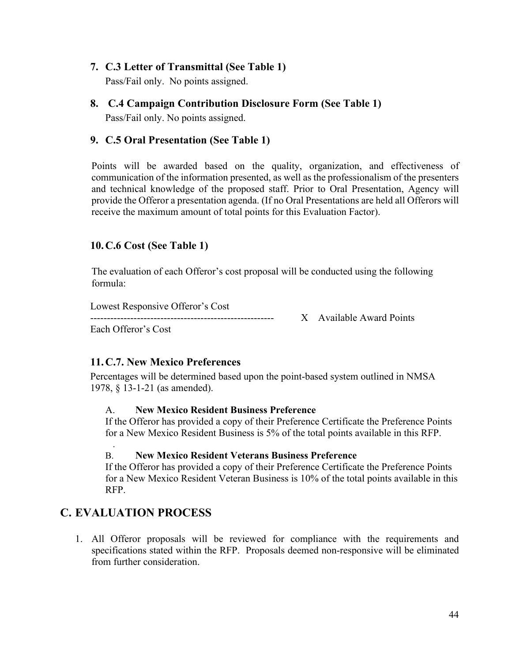#### **7. C.3 Letter of Transmittal (See Table 1)**

Pass/Fail only. No points assigned.

### **8. C.4 Campaign Contribution Disclosure Form (See Table 1)** Pass/Fail only. No points assigned.

#### **9. C.5 Oral Presentation (See Table 1)**

Points will be awarded based on the quality, organization, and effectiveness of communication of the information presented, as well as the professionalism of the presenters and technical knowledge of the proposed staff. Prior to Oral Presentation, Agency will provide the Offeror a presentation agenda. (If no Oral Presentations are held all Offerors will receive the maximum amount of total points for this Evaluation Factor).

#### **10.C.6 Cost (See Table 1)**

The evaluation of each Offeror's cost proposal will be conducted using the following formula:

Lowest Responsive Offeror's Cost

X Available Award Points

Each Offeror's Cost

### **11.C.7. New Mexico Preferences**

Percentages will be determined based upon the point-based system outlined in NMSA 1978, § 13-1-21 (as amended).

#### A. **New Mexico Resident Business Preference**

If the Offeror has provided a copy of their Preference Certificate the Preference Points for a New Mexico Resident Business is 5% of the total points available in this RFP.

#### B. **New Mexico Resident Veterans Business Preference**

If the Offeror has provided a copy of their Preference Certificate the Preference Points for a New Mexico Resident Veteran Business is 10% of the total points available in this RFP.

### **C. EVALUATION PROCESS**

.

1. All Offeror proposals will be reviewed for compliance with the requirements and specifications stated within the RFP. Proposals deemed non-responsive will be eliminated from further consideration.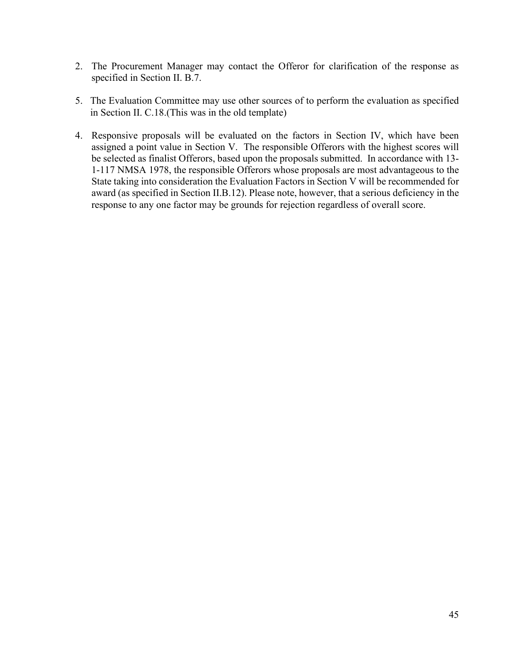- 2. The Procurement Manager may contact the Offeror for clarification of the response as specified in Section II. B.7.
- 5. The Evaluation Committee may use other sources of to perform the evaluation as specified in Section II. C.18.(This was in the old template)
- 4. Responsive proposals will be evaluated on the factors in Section IV, which have been assigned a point value in Section V. The responsible Offerors with the highest scores will be selected as finalist Offerors, based upon the proposals submitted. In accordance with 13- 1-117 NMSA 1978, the responsible Offerors whose proposals are most advantageous to the State taking into consideration the Evaluation Factors in Section V will be recommended for award (as specified in Section II.B.12). Please note, however, that a serious deficiency in the response to any one factor may be grounds for rejection regardless of overall score.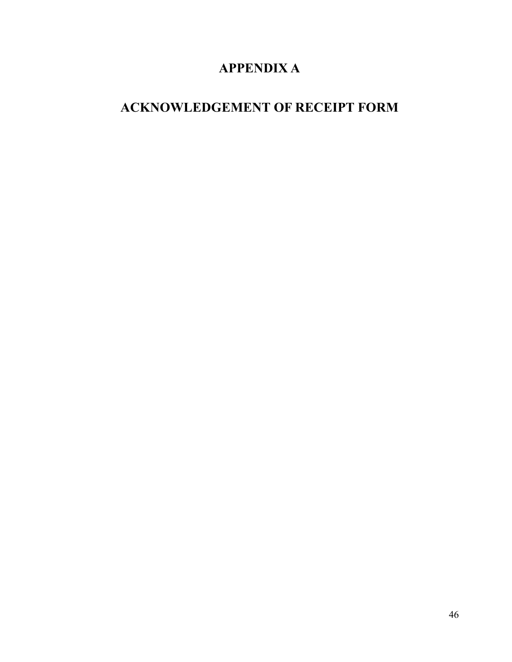# **APPENDIX A**

# **ACKNOWLEDGEMENT OF RECEIPT FORM**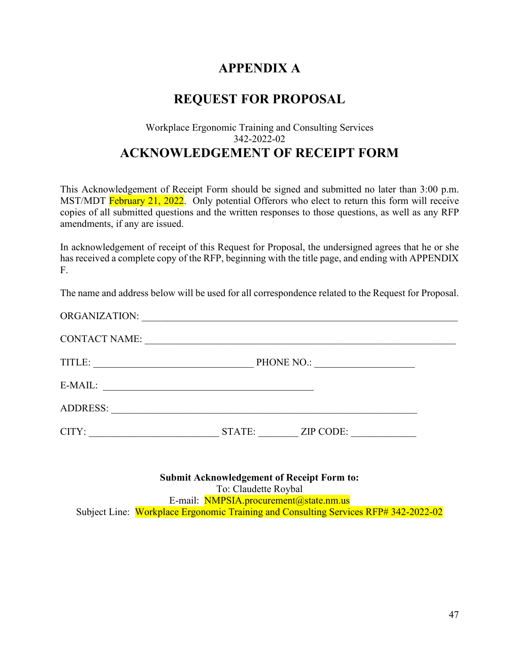## **APPENDIX A**

## **REQUEST FOR PROPOSAL**

### Workplace Ergonomic Training and Consulting Services 342-2022-02 **ACKNOWLEDGEMENT OF RECEIPT FORM**

This Acknowledgement of Receipt Form should be signed and submitted no later than 3:00 p.m. MST/MDT February 21, 2022. Only potential Offerors who elect to return this form will receive copies of all submitted questions and the written responses to those questions, as well as any RFP amendments, if any are issued.

In acknowledgement of receipt of this Request for Proposal, the undersigned agrees that he or she has received a complete copy of the RFP, beginning with the title page, and ending with APPENDIX F.

The name and address below will be used for all correspondence related to the Request for Proposal.

| ORGANIZATION:                                                                                                                   |            |           |
|---------------------------------------------------------------------------------------------------------------------------------|------------|-----------|
| <b>CONTACT NAME:</b>                                                                                                            |            |           |
| TITLE:<br><u> 1989 - Johann John Stone, mars eta bat eta bat eta bat eta bat eta bat eta bat eta bat eta bat eta bat eta b</u>  | PHONE NO.: |           |
| E-MAIL:<br><u> 1989 - Johann Stein, marwolaethau a bhann an t-Amhair ann an t-Amhair an t-Amhair an t-Amhair an t-Amhair an</u> |            |           |
| <b>ADDRESS:</b>                                                                                                                 |            |           |
| CITY:                                                                                                                           | STATE:     | ZIP CODE: |

**Submit Acknowledgement of Receipt Form to:** To: Claudette Roybal E-mail: NMPSIA.procurement@state.nm.us Subject Line: Workplace Ergonomic Training and Consulting Services RFP# 342-2022-02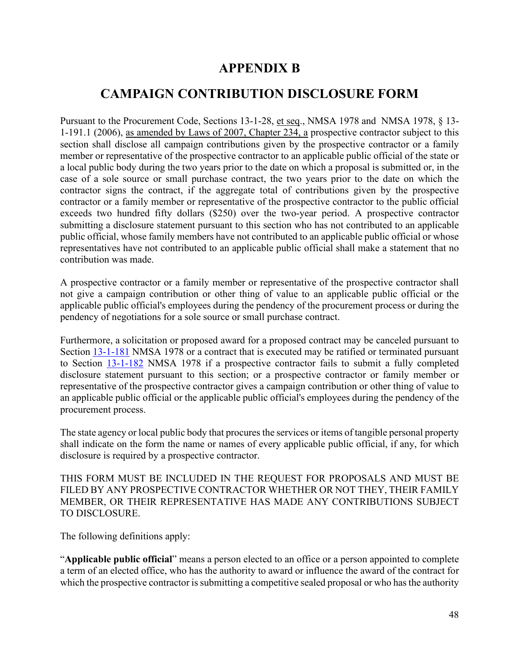## **APPENDIX B**

## **CAMPAIGN CONTRIBUTION DISCLOSURE FORM**

Pursuant to the Procurement Code, Sections 13-1-28, et seq., NMSA 1978 and NMSA 1978, § 13- 1-191.1 (2006), as amended by Laws of 2007, Chapter 234, a prospective contractor subject to this section shall disclose all campaign contributions given by the prospective contractor or a family member or representative of the prospective contractor to an applicable public official of the state or a local public body during the two years prior to the date on which a proposal is submitted or, in the case of a sole source or small purchase contract, the two years prior to the date on which the contractor signs the contract, if the aggregate total of contributions given by the prospective contractor or a family member or representative of the prospective contractor to the public official exceeds two hundred fifty dollars (\$250) over the two-year period. A prospective contractor submitting a disclosure statement pursuant to this section who has not contributed to an applicable public official, whose family members have not contributed to an applicable public official or whose representatives have not contributed to an applicable public official shall make a statement that no contribution was made.

A prospective contractor or a family member or representative of the prospective contractor shall not give a campaign contribution or other thing of value to an applicable public official or the applicable public official's employees during the pendency of the procurement process or during the pendency of negotiations for a sole source or small purchase contract.

Furthermore, a solicitation or proposed award for a proposed contract may be canceled pursuant to Section [13-1-181](http://mobile.nmonesource.com/nxt/gateway.dll?f=jumplink$jumplink_x=Advanced$jumplink_vpc=first$jumplink_xsl=querylink.xsl$jumplink_sel=title;path;content-type;home-title;item-bookmark$jumplink_d=%7bnmsa1978%7d$jumplink_q=%5bfield%20folio-destination-name:) NMSA 1978 or a contract that is executed may be ratified or terminated pursuant to Section [13-1-182](http://mobile.nmonesource.com/nxt/gateway.dll?f=jumplink$jumplink_x=Advanced$jumplink_vpc=first$jumplink_xsl=querylink.xsl$jumplink_sel=title;path;content-type;home-title;item-bookmark$jumplink_d=%7bnmsa1978%7d$jumplink_q=%5bfield%20folio-destination-name:) NMSA 1978 if a prospective contractor fails to submit a fully completed disclosure statement pursuant to this section; or a prospective contractor or family member or representative of the prospective contractor gives a campaign contribution or other thing of value to an applicable public official or the applicable public official's employees during the pendency of the procurement process.

The state agency or local public body that procures the services or items of tangible personal property shall indicate on the form the name or names of every applicable public official, if any, for which disclosure is required by a prospective contractor.

THIS FORM MUST BE INCLUDED IN THE REQUEST FOR PROPOSALS AND MUST BE FILED BY ANY PROSPECTIVE CONTRACTOR WHETHER OR NOT THEY, THEIR FAMILY MEMBER, OR THEIR REPRESENTATIVE HAS MADE ANY CONTRIBUTIONS SUBJECT TO DISCLOSURE.

The following definitions apply:

"**Applicable public official**" means a person elected to an office or a person appointed to complete a term of an elected office, who has the authority to award or influence the award of the contract for which the prospective contractor is submitting a competitive sealed proposal or who has the authority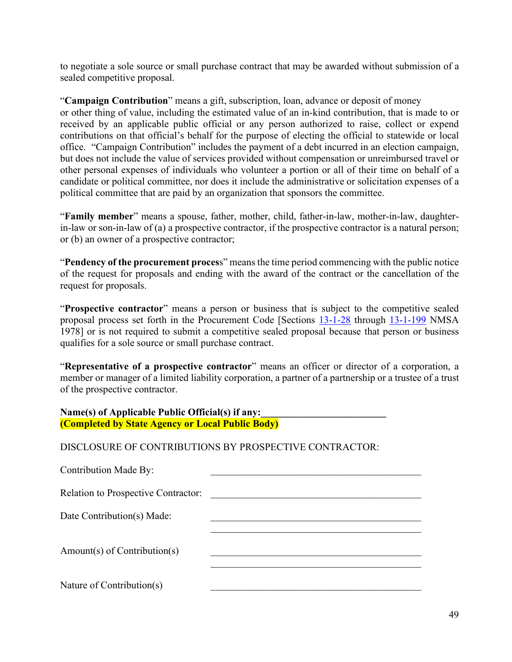to negotiate a sole source or small purchase contract that may be awarded without submission of a sealed competitive proposal.

"**Campaign Contribution**" means a gift, subscription, loan, advance or deposit of money or other thing of value, including the estimated value of an in-kind contribution, that is made to or received by an applicable public official or any person authorized to raise, collect or expend contributions on that official's behalf for the purpose of electing the official to statewide or local office. "Campaign Contribution" includes the payment of a debt incurred in an election campaign, but does not include the value of services provided without compensation or unreimbursed travel or other personal expenses of individuals who volunteer a portion or all of their time on behalf of a candidate or political committee, nor does it include the administrative or solicitation expenses of a political committee that are paid by an organization that sponsors the committee.

"**Family member**" means a spouse, father, mother, child, father-in-law, mother-in-law, daughterin-law or son-in-law of (a) a prospective contractor, if the prospective contractor is a natural person; or (b) an owner of a prospective contractor;

"**Pendency of the procurement proces**s" means the time period commencing with the public notice of the request for proposals and ending with the award of the contract or the cancellation of the request for proposals.

"**Prospective contractor**" means a person or business that is subject to the competitive sealed proposal process set forth in the Procurement Code [Sections [13-1-28](http://mobile.nmonesource.com/nxt/gateway.dll?f=jumplink$jumplink_x=Advanced$jumplink_vpc=first$jumplink_xsl=querylink.xsl$jumplink_sel=title;path;content-type;home-title;item-bookmark$jumplink_d=%7bnmsa1978%7d$jumplink_q=%5bfield%20folio-destination-name:) through [13-1-199](http://mobile.nmonesource.com/nxt/gateway.dll?f=jumplink$jumplink_x=Advanced$jumplink_vpc=first$jumplink_xsl=querylink.xsl$jumplink_sel=title;path;content-type;home-title;item-bookmark$jumplink_d=%7bnmsa1978%7d$jumplink_q=%5bfield%20folio-destination-name:) NMSA 1978] or is not required to submit a competitive sealed proposal because that person or business qualifies for a sole source or small purchase contract.

"**Representative of a prospective contractor**" means an officer or director of a corporation, a member or manager of a limited liability corporation, a partner of a partnership or a trustee of a trust of the prospective contractor.

| Name(s) of Applicable Public Official(s) if any: |  |
|--------------------------------------------------|--|
| (Completed by State Agency or Local Public Body) |  |

DISCLOSURE OF CONTRIBUTIONS BY PROSPECTIVE CONTRACTOR:

| Contribution Made By:               |  |
|-------------------------------------|--|
| Relation to Prospective Contractor: |  |
| Date Contribution(s) Made:          |  |
| $Amount(s)$ of Contribution(s)      |  |
| Nature of Contribution(s)           |  |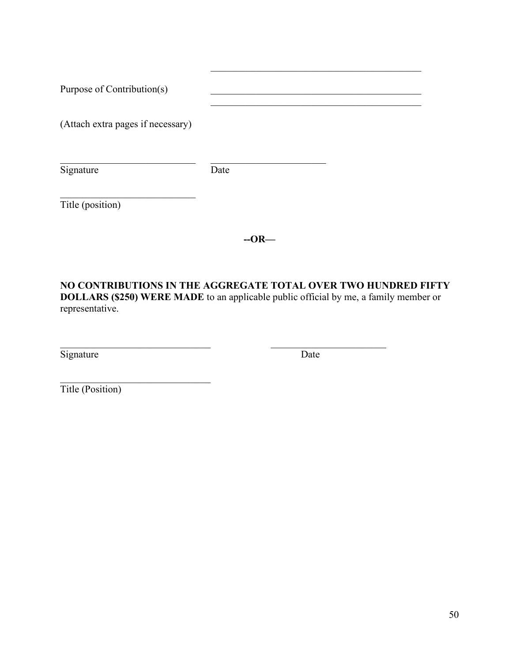| Purpose of Contribution(s)        |      |  |
|-----------------------------------|------|--|
| (Attach extra pages if necessary) |      |  |
| Signature                         | Date |  |
| Title (position)                  |      |  |

**--OR—**

**NO CONTRIBUTIONS IN THE AGGREGATE TOTAL OVER TWO HUNDRED FIFTY DOLLARS (\$250) WERE MADE** to an applicable public official by me, a family member or representative.

 $\mathcal{L}_\text{max}$  , and the contribution of the contribution of  $\mathcal{L}_\text{max}$  , and the contribution of  $\mathcal{L}_\text{max}$ 

Signature Date

 $\mathcal{L}_\mathcal{L}$  , which is a set of the set of the set of the set of the set of the set of the set of the set of the set of the set of the set of the set of the set of the set of the set of the set of the set of the set of

Title (Position)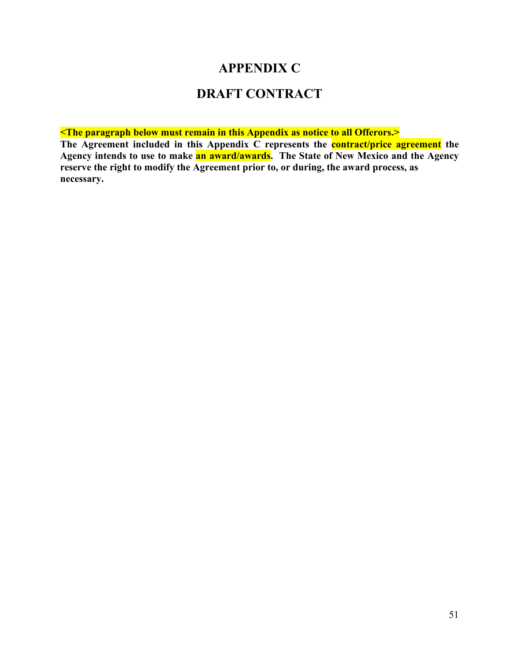### **APPENDIX C**

## **DRAFT CONTRACT**

**<The paragraph below must remain in this Appendix as notice to all Offerors.>**

**The Agreement included in this Appendix C represents the contract/price agreement the Agency intends to use to make an award/awards. The State of New Mexico and the Agency reserve the right to modify the Agreement prior to, or during, the award process, as necessary.**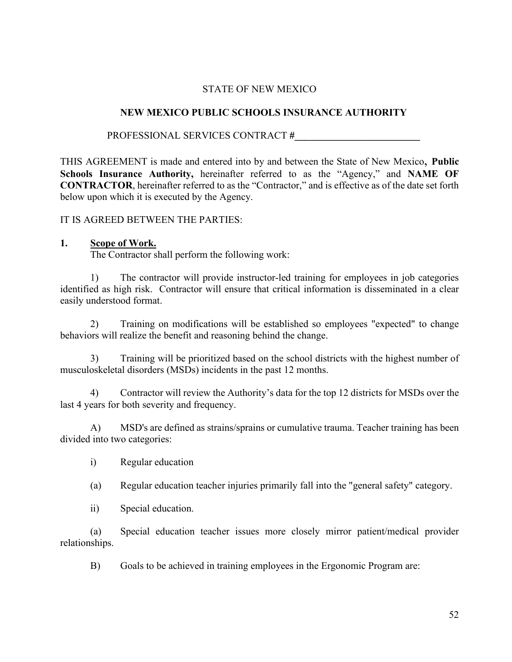#### STATE OF NEW MEXICO

#### **NEW MEXICO PUBLIC SCHOOLS INSURANCE AUTHORITY**

PROFESSIONAL SERVICES CONTRACT **#\_\_\_\_\_\_\_\_\_\_\_\_\_\_\_\_\_\_\_\_\_\_\_\_\_**

THIS AGREEMENT is made and entered into by and between the State of New Mexico, **Public Schools Insurance Authority,** hereinafter referred to as the "Agency," and **NAME OF CONTRACTOR**, hereinafter referred to as the "Contractor," and is effective as of the date set forth below upon which it is executed by the Agency.

IT IS AGREED BETWEEN THE PARTIES:

#### **1. Scope of Work.**

The Contractor shall perform the following work:

1) The contractor will provide instructor-led training for employees in job categories identified as high risk. Contractor will ensure that critical information is disseminated in a clear easily understood format.

2) Training on modifications will be established so employees "expected" to change behaviors will realize the benefit and reasoning behind the change.

3) Training will be prioritized based on the school districts with the highest number of musculoskeletal disorders (MSDs) incidents in the past 12 months.

4) Contractor will review the Authority's data for the top 12 districts for MSDs over the last 4 years for both severity and frequency.

A) MSD's are defined as strains/sprains or cumulative trauma. Teacher training has been divided into two categories:

- i) Regular education
- (a) Regular education teacher injuries primarily fall into the "general safety" category.
- ii) Special education.

(a) Special education teacher issues more closely mirror patient/medical provider relationships.

B) Goals to be achieved in training employees in the Ergonomic Program are: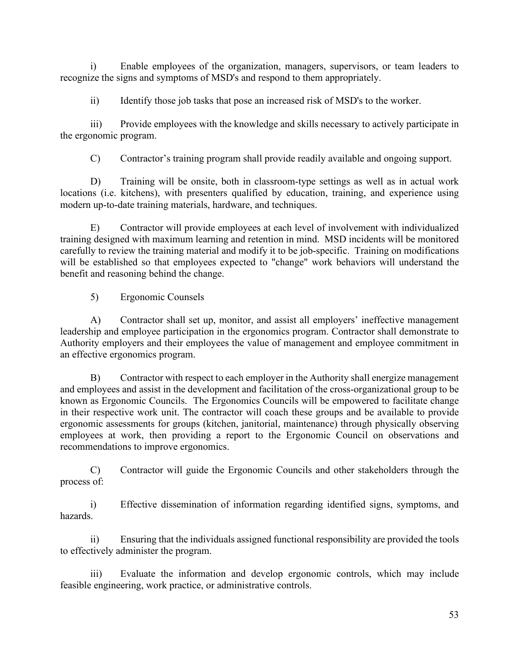i) Enable employees of the organization, managers, supervisors, or team leaders to recognize the signs and symptoms of MSD's and respond to them appropriately.

ii) Identify those job tasks that pose an increased risk of MSD's to the worker.

iii) Provide employees with the knowledge and skills necessary to actively participate in the ergonomic program.

C) Contractor's training program shall provide readily available and ongoing support.

D) Training will be onsite, both in classroom-type settings as well as in actual work locations (i.e. kitchens), with presenters qualified by education, training, and experience using modern up-to-date training materials, hardware, and techniques.

E) Contractor will provide employees at each level of involvement with individualized training designed with maximum learning and retention in mind. MSD incidents will be monitored carefully to review the training material and modify it to be job-specific. Training on modifications will be established so that employees expected to "change" work behaviors will understand the benefit and reasoning behind the change.

5) Ergonomic Counsels

A) Contractor shall set up, monitor, and assist all employers' ineffective management leadership and employee participation in the ergonomics program. Contractor shall demonstrate to Authority employers and their employees the value of management and employee commitment in an effective ergonomics program.

B) Contractor with respect to each employer in the Authority shall energize management and employees and assist in the development and facilitation of the cross-organizational group to be known as Ergonomic Councils. The Ergonomics Councils will be empowered to facilitate change in their respective work unit. The contractor will coach these groups and be available to provide ergonomic assessments for groups (kitchen, janitorial, maintenance) through physically observing employees at work, then providing a report to the Ergonomic Council on observations and recommendations to improve ergonomics.

C) Contractor will guide the Ergonomic Councils and other stakeholders through the process of:

i) Effective dissemination of information regarding identified signs, symptoms, and hazards.

ii) Ensuring that the individuals assigned functional responsibility are provided the tools to effectively administer the program.

iii) Evaluate the information and develop ergonomic controls, which may include feasible engineering, work practice, or administrative controls.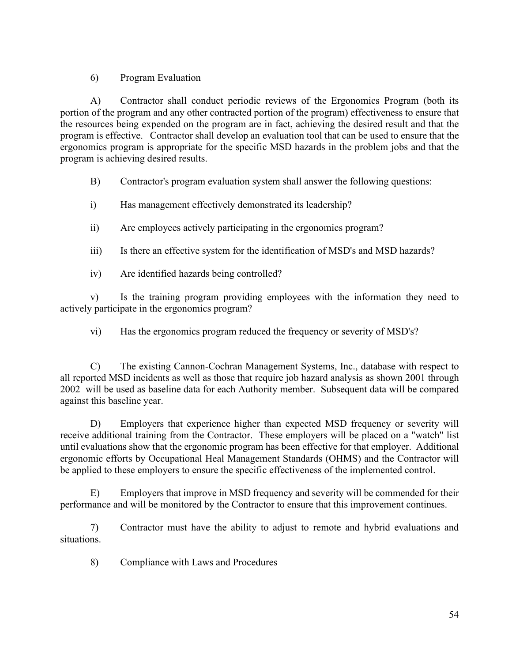#### 6) Program Evaluation

A) Contractor shall conduct periodic reviews of the Ergonomics Program (both its portion of the program and any other contracted portion of the program) effectiveness to ensure that the resources being expended on the program are in fact, achieving the desired result and that the program is effective. Contractor shall develop an evaluation tool that can be used to ensure that the ergonomics program is appropriate for the specific MSD hazards in the problem jobs and that the program is achieving desired results.

B) Contractor's program evaluation system shall answer the following questions:

- i) Has management effectively demonstrated its leadership?
- ii) Are employees actively participating in the ergonomics program?
- iii) Is there an effective system for the identification of MSD's and MSD hazards?
- iv) Are identified hazards being controlled?

v) Is the training program providing employees with the information they need to actively participate in the ergonomics program?

vi) Has the ergonomics program reduced the frequency or severity of MSD's?

C) The existing Cannon-Cochran Management Systems, Inc., database with respect to all reported MSD incidents as well as those that require job hazard analysis as shown 2001 through 2002 will be used as baseline data for each Authority member. Subsequent data will be compared against this baseline year.

D) Employers that experience higher than expected MSD frequency or severity will receive additional training from the Contractor. These employers will be placed on a "watch" list until evaluations show that the ergonomic program has been effective for that employer. Additional ergonomic efforts by Occupational Heal Management Standards (OHMS) and the Contractor will be applied to these employers to ensure the specific effectiveness of the implemented control.

E) Employers that improve in MSD frequency and severity will be commended for their performance and will be monitored by the Contractor to ensure that this improvement continues.

7) Contractor must have the ability to adjust to remote and hybrid evaluations and situations.

8) Compliance with Laws and Procedures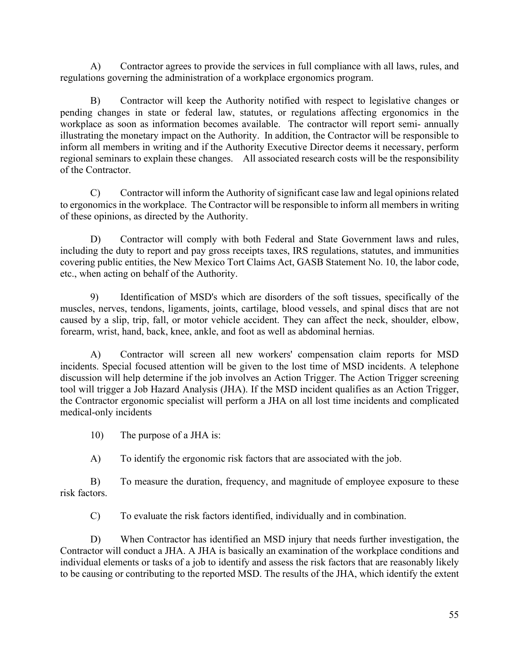A) Contractor agrees to provide the services in full compliance with all laws, rules, and regulations governing the administration of a workplace ergonomics program.

B) Contractor will keep the Authority notified with respect to legislative changes or pending changes in state or federal law, statutes, or regulations affecting ergonomics in the workplace as soon as information becomes available. The contractor will report semi- annually illustrating the monetary impact on the Authority. In addition, the Contractor will be responsible to inform all members in writing and if the Authority Executive Director deems it necessary, perform regional seminars to explain these changes. All associated research costs will be the responsibility of the Contractor.

C) Contractor will inform the Authority of significant case law and legal opinions related to ergonomics in the workplace. The Contractor will be responsible to inform all members in writing of these opinions, as directed by the Authority.

D) Contractor will comply with both Federal and State Government laws and rules, including the duty to report and pay gross receipts taxes, IRS regulations, statutes, and immunities covering public entities, the New Mexico Tort Claims Act, GASB Statement No. 10, the labor code, etc., when acting on behalf of the Authority.

9) Identification of MSD's which are disorders of the soft tissues, specifically of the muscles, nerves, tendons, ligaments, joints, cartilage, blood vessels, and spinal discs that are not caused by a slip, trip, fall, or motor vehicle accident. They can affect the neck, shoulder, elbow, forearm, wrist, hand, back, knee, ankle, and foot as well as abdominal hernias.

A) Contractor will screen all new workers' compensation claim reports for MSD incidents. Special focused attention will be given to the lost time of MSD incidents. A telephone discussion will help determine if the job involves an Action Trigger. The Action Trigger screening tool will trigger a Job Hazard Analysis (JHA). If the MSD incident qualifies as an Action Trigger, the Contractor ergonomic specialist will perform a JHA on all lost time incidents and complicated medical-only incidents

10) The purpose of a JHA is:

A) To identify the ergonomic risk factors that are associated with the job.

B) To measure the duration, frequency, and magnitude of employee exposure to these risk factors.

C) To evaluate the risk factors identified, individually and in combination.

D) When Contractor has identified an MSD injury that needs further investigation, the Contractor will conduct a JHA. A JHA is basically an examination of the workplace conditions and individual elements or tasks of a job to identify and assess the risk factors that are reasonably likely to be causing or contributing to the reported MSD. The results of the JHA, which identify the extent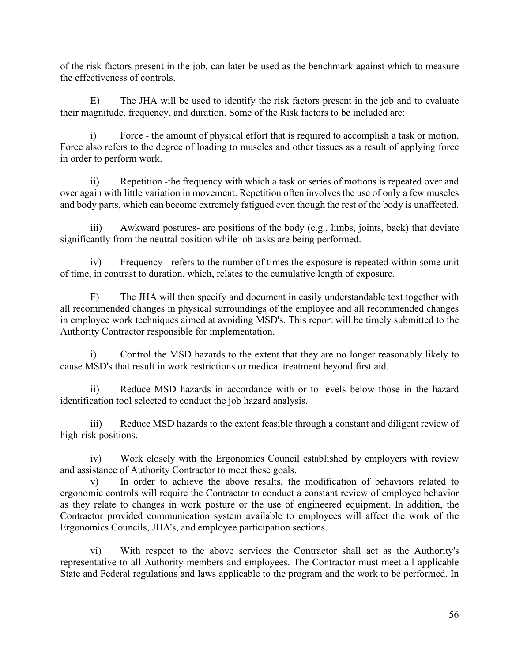of the risk factors present in the job, can later be used as the benchmark against which to measure the effectiveness of controls.

E) The JHA will be used to identify the risk factors present in the job and to evaluate their magnitude, frequency, and duration. Some of the Risk factors to be included are:

i) Force - the amount of physical effort that is required to accomplish a task or motion. Force also refers to the degree of loading to muscles and other tissues as a result of applying force in order to perform work.

ii) Repetition -the frequency with which a task or series of motions is repeated over and over again with little variation in movement. Repetition often involves the use of only a few muscles and body parts, which can become extremely fatigued even though the rest of the body is unaffected.

Awkward postures- are positions of the body (e.g., limbs, joints, back) that deviate significantly from the neutral position while job tasks are being performed.

Frequency - refers to the number of times the exposure is repeated within some unit of time, in contrast to duration, which, relates to the cumulative length of exposure.

F) The JHA will then specify and document in easily understandable text together with all recommended changes in physical surroundings of the employee and all recommended changes in employee work techniques aimed at avoiding MSD's. This report will be timely submitted to the Authority Contractor responsible for implementation.

i) Control the MSD hazards to the extent that they are no longer reasonably likely to cause MSD's that result in work restrictions or medical treatment beyond first aid.

ii) Reduce MSD hazards in accordance with or to levels below those in the hazard identification tool selected to conduct the job hazard analysis.

iii) Reduce MSD hazards to the extent feasible through a constant and diligent review of high-risk positions.

iv) Work closely with the Ergonomics Council established by employers with review and assistance of Authority Contractor to meet these goals.

v) In order to achieve the above results, the modification of behaviors related to ergonomic controls will require the Contractor to conduct a constant review of employee behavior as they relate to changes in work posture or the use of engineered equipment. In addition, the Contractor provided communication system available to employees will affect the work of the Ergonomics Councils, JHA's, and employee participation sections.

vi) With respect to the above services the Contractor shall act as the Authority's representative to all Authority members and employees. The Contractor must meet all applicable State and Federal regulations and laws applicable to the program and the work to be performed. In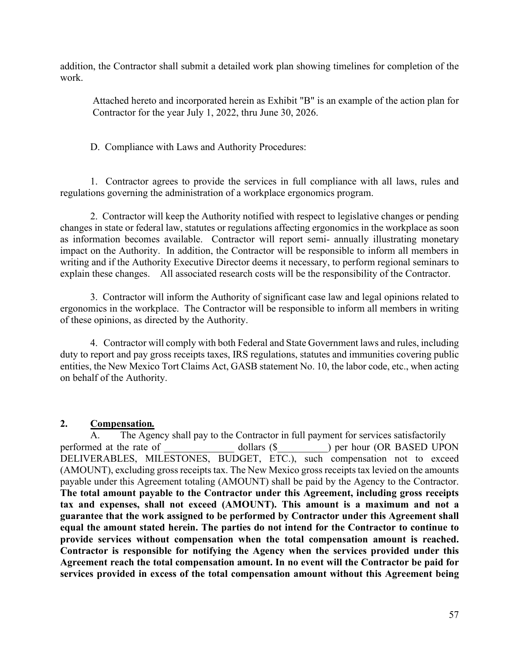addition, the Contractor shall submit a detailed work plan showing timelines for completion of the work.

Attached hereto and incorporated herein as Exhibit "B" is an example of the action plan for Contractor for the year July 1, 2022, thru June 30, 2026.

D. Compliance with Laws and Authority Procedures:

1. Contractor agrees to provide the services in full compliance with all laws, rules and regulations governing the administration of a workplace ergonomics program.

2. Contractor will keep the Authority notified with respect to legislative changes or pending changes in state or federal law, statutes or regulations affecting ergonomics in the workplace as soon as information becomes available. Contractor will report semi- annually illustrating monetary impact on the Authority. In addition, the Contractor will be responsible to inform all members in writing and if the Authority Executive Director deems it necessary, to perform regional seminars to explain these changes. All associated research costs will be the responsibility of the Contractor.

3. Contractor will inform the Authority of significant case law and legal opinions related to ergonomics in the workplace. The Contractor will be responsible to inform all members in writing of these opinions, as directed by the Authority.

4. Contractor will comply with both Federal and State Government laws and rules, including duty to report and pay gross receipts taxes, IRS regulations, statutes and immunities covering public entities, the New Mexico Tort Claims Act, GASB statement No. 10, the labor code, etc., when acting on behalf of the Authority.

#### **2. Compensation***.*

A. The Agency shall pay to the Contractor in full payment for services satisfactorily performed at the rate of dollars (\$  $\qquad$  ) per hour (OR BASED UPON DELIVERABLES, MILESTONES, BUDGET, ETC.), such compensation not to exceed (AMOUNT), excluding gross receipts tax. The New Mexico gross receipts tax levied on the amounts payable under this Agreement totaling (AMOUNT) shall be paid by the Agency to the Contractor. **The total amount payable to the Contractor under this Agreement, including gross receipts tax and expenses, shall not exceed (AMOUNT). This amount is a maximum and not a guarantee that the work assigned to be performed by Contractor under this Agreement shall equal the amount stated herein. The parties do not intend for the Contractor to continue to provide services without compensation when the total compensation amount is reached. Contractor is responsible for notifying the Agency when the services provided under this Agreement reach the total compensation amount. In no event will the Contractor be paid for services provided in excess of the total compensation amount without this Agreement being**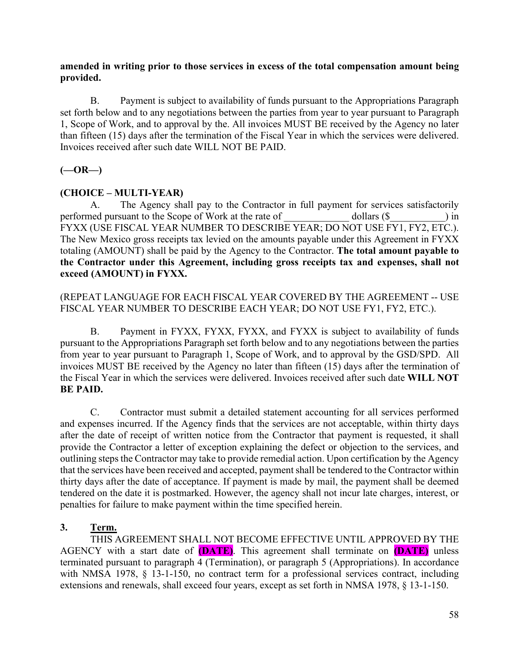#### **amended in writing prior to those services in excess of the total compensation amount being provided.**

B. Payment is subject to availability of funds pursuant to the Appropriations Paragraph set forth below and to any negotiations between the parties from year to year pursuant to Paragraph 1, Scope of Work, and to approval by the. All invoices MUST BE received by the Agency no later than fifteen (15) days after the termination of the Fiscal Year in which the services were delivered. Invoices received after such date WILL NOT BE PAID.

#### **(—OR—)**

#### **(CHOICE – MULTI-YEAR)**

A. The Agency shall pay to the Contractor in full payment for services satisfactorily performed pursuant to the Scope of Work at the rate of dollars (\$ cases) in FYXX (USE FISCAL YEAR NUMBER TO DESCRIBE YEAR; DO NOT USE FY1, FY2, ETC.). The New Mexico gross receipts tax levied on the amounts payable under this Agreement in FYXX totaling (AMOUNT) shall be paid by the Agency to the Contractor. **The total amount payable to the Contractor under this Agreement, including gross receipts tax and expenses, shall not exceed (AMOUNT) in FYXX.**

#### (REPEAT LANGUAGE FOR EACH FISCAL YEAR COVERED BY THE AGREEMENT -- USE FISCAL YEAR NUMBER TO DESCRIBE EACH YEAR; DO NOT USE FY1, FY2, ETC.).

B. Payment in FYXX, FYXX, FYXX, and FYXX is subject to availability of funds pursuant to the Appropriations Paragraph set forth below and to any negotiations between the parties from year to year pursuant to Paragraph 1, Scope of Work, and to approval by the GSD/SPD. All invoices MUST BE received by the Agency no later than fifteen (15) days after the termination of the Fiscal Year in which the services were delivered. Invoices received after such date **WILL NOT BE PAID.**

C. Contractor must submit a detailed statement accounting for all services performed and expenses incurred. If the Agency finds that the services are not acceptable, within thirty days after the date of receipt of written notice from the Contractor that payment is requested, it shall provide the Contractor a letter of exception explaining the defect or objection to the services, and outlining steps the Contractor may take to provide remedial action. Upon certification by the Agency that the services have been received and accepted, payment shall be tendered to the Contractor within thirty days after the date of acceptance. If payment is made by mail, the payment shall be deemed tendered on the date it is postmarked. However, the agency shall not incur late charges, interest, or penalties for failure to make payment within the time specified herein.

#### **3. Term.**

THIS AGREEMENT SHALL NOT BECOME EFFECTIVE UNTIL APPROVED BY THE AGENCY with a start date of **(DATE)**. This agreement shall terminate on **(DATE)** unless terminated pursuant to paragraph 4 (Termination), or paragraph 5 (Appropriations). In accordance with NMSA 1978, § 13-1-150, no contract term for a professional services contract, including extensions and renewals, shall exceed four years, except as set forth in NMSA 1978, § 13-1-150.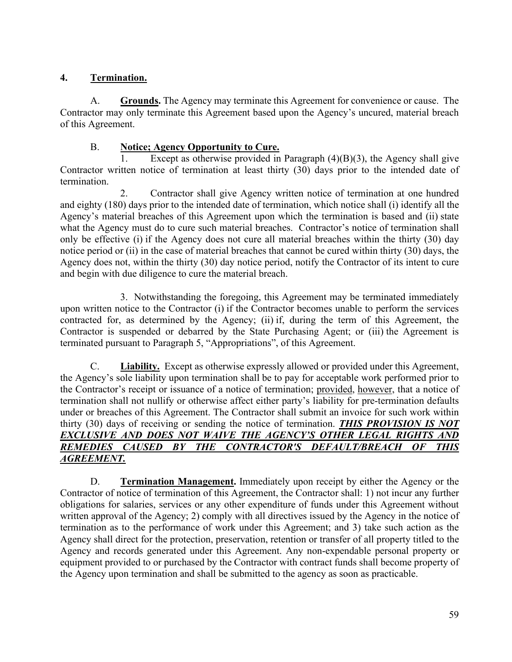#### **4. Termination.**

A. **Grounds.** The Agency may terminate this Agreement for convenience or cause. The Contractor may only terminate this Agreement based upon the Agency's uncured, material breach of this Agreement.

#### B. **Notice; Agency Opportunity to Cure.**

Except as otherwise provided in Paragraph  $(4)(B)(3)$ , the Agency shall give Contractor written notice of termination at least thirty (30) days prior to the intended date of termination.

2. Contractor shall give Agency written notice of termination at one hundred and eighty (180) days prior to the intended date of termination, which notice shall (i) identify all the Agency's material breaches of this Agreement upon which the termination is based and (ii) state what the Agency must do to cure such material breaches. Contractor's notice of termination shall only be effective (i) if the Agency does not cure all material breaches within the thirty (30) day notice period or (ii) in the case of material breaches that cannot be cured within thirty (30) days, the Agency does not, within the thirty (30) day notice period, notify the Contractor of its intent to cure and begin with due diligence to cure the material breach.

3. Notwithstanding the foregoing, this Agreement may be terminated immediately upon written notice to the Contractor (i) if the Contractor becomes unable to perform the services contracted for, as determined by the Agency; (ii) if, during the term of this Agreement, the Contractor is suspended or debarred by the State Purchasing Agent; or (iii) the Agreement is terminated pursuant to Paragraph 5, "Appropriations", of this Agreement.

C. **Liability.** Except as otherwise expressly allowed or provided under this Agreement, the Agency's sole liability upon termination shall be to pay for acceptable work performed prior to the Contractor's receipt or issuance of a notice of termination; provided, however, that a notice of termination shall not nullify or otherwise affect either party's liability for pre-termination defaults under or breaches of this Agreement. The Contractor shall submit an invoice for such work within thirty (30) days of receiving or sending the notice of termination. *THIS PROVISION IS NOT EXCLUSIVE AND DOES NOT WAIVE THE AGENCY'S OTHER LEGAL RIGHTS AND REMEDIES CAUSED BY THE CONTRACTOR'S DEFAULT/BREACH OF THIS AGREEMENT.*

D. **Termination Management.** Immediately upon receipt by either the Agency or the Contractor of notice of termination of this Agreement, the Contractor shall: 1) not incur any further obligations for salaries, services or any other expenditure of funds under this Agreement without written approval of the Agency; 2) comply with all directives issued by the Agency in the notice of termination as to the performance of work under this Agreement; and 3) take such action as the Agency shall direct for the protection, preservation, retention or transfer of all property titled to the Agency and records generated under this Agreement. Any non-expendable personal property or equipment provided to or purchased by the Contractor with contract funds shall become property of the Agency upon termination and shall be submitted to the agency as soon as practicable.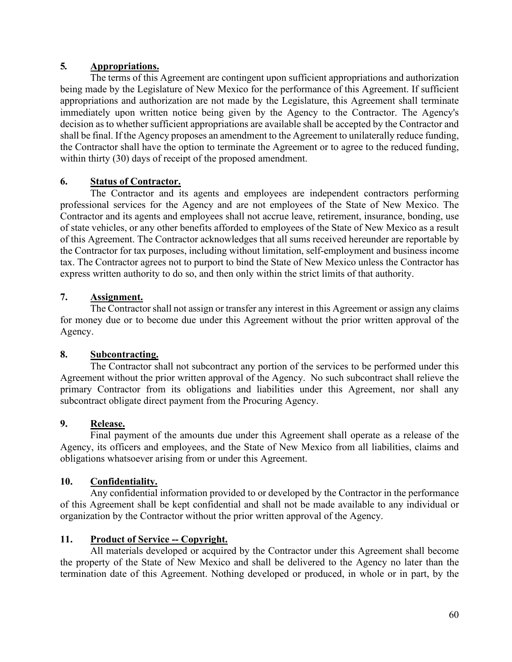#### **5***.* **Appropriations.**

The terms of this Agreement are contingent upon sufficient appropriations and authorization being made by the Legislature of New Mexico for the performance of this Agreement. If sufficient appropriations and authorization are not made by the Legislature, this Agreement shall terminate immediately upon written notice being given by the Agency to the Contractor. The Agency's decision as to whether sufficient appropriations are available shall be accepted by the Contractor and shall be final. If the Agency proposes an amendment to the Agreement to unilaterally reduce funding, the Contractor shall have the option to terminate the Agreement or to agree to the reduced funding, within thirty (30) days of receipt of the proposed amendment.

#### **6. Status of Contractor.**

The Contractor and its agents and employees are independent contractors performing professional services for the Agency and are not employees of the State of New Mexico. The Contractor and its agents and employees shall not accrue leave, retirement, insurance, bonding, use of state vehicles, or any other benefits afforded to employees of the State of New Mexico as a result of this Agreement. The Contractor acknowledges that all sums received hereunder are reportable by the Contractor for tax purposes, including without limitation, self-employment and business income tax. The Contractor agrees not to purport to bind the State of New Mexico unless the Contractor has express written authority to do so, and then only within the strict limits of that authority.

#### **7. Assignment.**

The Contractor shall not assign or transfer any interest in this Agreement or assign any claims for money due or to become due under this Agreement without the prior written approval of the Agency.

#### **8. Subcontracting.**

The Contractor shall not subcontract any portion of the services to be performed under this Agreement without the prior written approval of the Agency. No such subcontract shall relieve the primary Contractor from its obligations and liabilities under this Agreement, nor shall any subcontract obligate direct payment from the Procuring Agency.

#### **9. Release.**

Final payment of the amounts due under this Agreement shall operate as a release of the Agency, its officers and employees, and the State of New Mexico from all liabilities, claims and obligations whatsoever arising from or under this Agreement.

#### **10. Confidentiality.**

Any confidential information provided to or developed by the Contractor in the performance of this Agreement shall be kept confidential and shall not be made available to any individual or organization by the Contractor without the prior written approval of the Agency.

#### **11. Product of Service -- Copyright.**

All materials developed or acquired by the Contractor under this Agreement shall become the property of the State of New Mexico and shall be delivered to the Agency no later than the termination date of this Agreement. Nothing developed or produced, in whole or in part, by the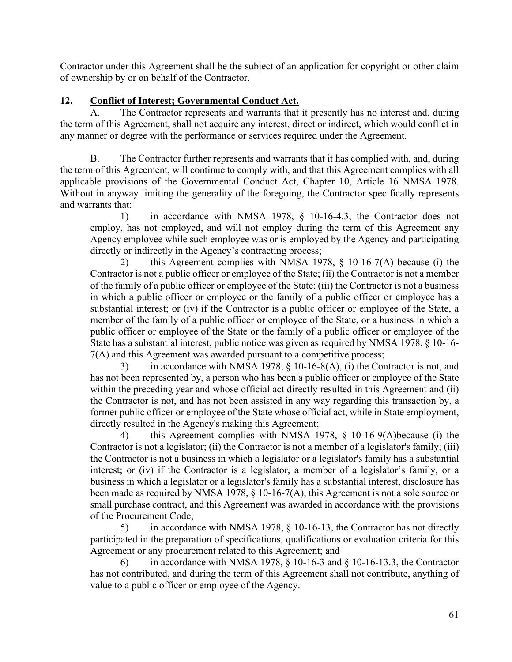Contractor under this Agreement shall be the subject of an application for copyright or other claim of ownership by or on behalf of the Contractor.

#### **12. Conflict of Interest; Governmental Conduct Act.**

A. The Contractor represents and warrants that it presently has no interest and, during the term of this Agreement, shall not acquire any interest, direct or indirect, which would conflict in any manner or degree with the performance or services required under the Agreement.

B. The Contractor further represents and warrants that it has complied with, and, during the term of this Agreement, will continue to comply with, and that this Agreement complies with all applicable provisions of the Governmental Conduct Act, Chapter 10, Article 16 NMSA 1978. Without in anyway limiting the generality of the foregoing, the Contractor specifically represents and warrants that:

1) in accordance with NMSA 1978, § 10-16-4.3, the Contractor does not employ, has not employed, and will not employ during the term of this Agreement any Agency employee while such employee was or is employed by the Agency and participating directly or indirectly in the Agency's contracting process;

2) this Agreement complies with NMSA 1978, § 10-16-7(A) because (i) the Contractor is not a public officer or employee of the State; (ii) the Contractor is not a member of the family of a public officer or employee of the State; (iii) the Contractor is not a business in which a public officer or employee or the family of a public officer or employee has a substantial interest; or (iv) if the Contractor is a public officer or employee of the State, a member of the family of a public officer or employee of the State, or a business in which a public officer or employee of the State or the family of a public officer or employee of the State has a substantial interest, public notice was given as required by NMSA 1978, § 10-16- 7(A) and this Agreement was awarded pursuant to a competitive process;

3) in accordance with NMSA 1978, § 10-16-8(A), (i) the Contractor is not, and has not been represented by, a person who has been a public officer or employee of the State within the preceding year and whose official act directly resulted in this Agreement and (ii) the Contractor is not, and has not been assisted in any way regarding this transaction by, a former public officer or employee of the State whose official act, while in State employment, directly resulted in the Agency's making this Agreement;

4) this Agreement complies with NMSA 1978, § 10-16-9(A)because (i) the Contractor is not a legislator; (ii) the Contractor is not a member of a legislator's family; (iii) the Contractor is not a business in which a legislator or a legislator's family has a substantial interest; or (iv) if the Contractor is a legislator, a member of a legislator's family, or a business in which a legislator or a legislator's family has a substantial interest, disclosure has been made as required by NMSA 1978, § 10-16-7(A), this Agreement is not a sole source or small purchase contract, and this Agreement was awarded in accordance with the provisions of the Procurement Code;

5) in accordance with NMSA 1978, § 10-16-13, the Contractor has not directly participated in the preparation of specifications, qualifications or evaluation criteria for this Agreement or any procurement related to this Agreement; and

in accordance with NMSA 1978,  $\S$  10-16-3 and  $\S$  10-16-13.3, the Contractor has not contributed, and during the term of this Agreement shall not contribute, anything of value to a public officer or employee of the Agency.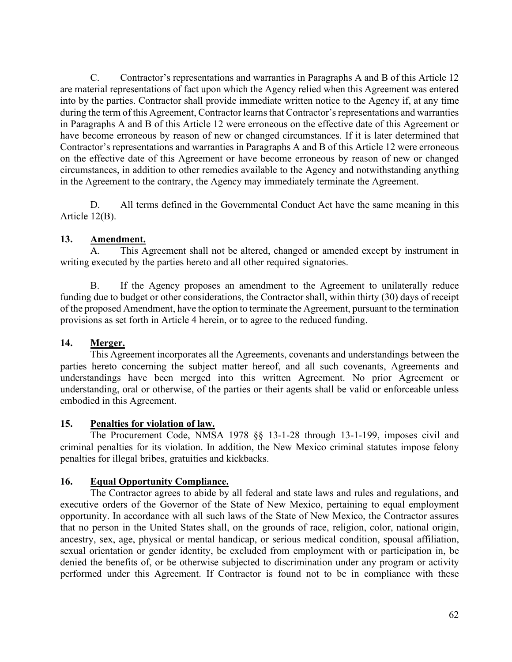C. Contractor's representations and warranties in Paragraphs A and B of this Article 12 are material representations of fact upon which the Agency relied when this Agreement was entered into by the parties. Contractor shall provide immediate written notice to the Agency if, at any time during the term of this Agreement, Contractor learns that Contractor's representations and warranties in Paragraphs A and B of this Article 12 were erroneous on the effective date of this Agreement or have become erroneous by reason of new or changed circumstances. If it is later determined that Contractor's representations and warranties in Paragraphs A and B of this Article 12 were erroneous on the effective date of this Agreement or have become erroneous by reason of new or changed circumstances, in addition to other remedies available to the Agency and notwithstanding anything in the Agreement to the contrary, the Agency may immediately terminate the Agreement.

D. All terms defined in the Governmental Conduct Act have the same meaning in this Article 12(B).

#### **13. Amendment.**

A. This Agreement shall not be altered, changed or amended except by instrument in writing executed by the parties hereto and all other required signatories.

B. If the Agency proposes an amendment to the Agreement to unilaterally reduce funding due to budget or other considerations, the Contractor shall, within thirty (30) days of receipt of the proposed Amendment, have the option to terminate the Agreement, pursuant to the termination provisions as set forth in Article 4 herein, or to agree to the reduced funding.

### **14. Merger.**

This Agreement incorporates all the Agreements, covenants and understandings between the parties hereto concerning the subject matter hereof, and all such covenants, Agreements and understandings have been merged into this written Agreement. No prior Agreement or understanding, oral or otherwise, of the parties or their agents shall be valid or enforceable unless embodied in this Agreement.

#### **15. Penalties for violation of law.**

The Procurement Code, NMSA 1978 §§ 13-1-28 through 13-1-199, imposes civil and criminal penalties for its violation. In addition, the New Mexico criminal statutes impose felony penalties for illegal bribes, gratuities and kickbacks.

### **16. Equal Opportunity Compliance.**

The Contractor agrees to abide by all federal and state laws and rules and regulations, and executive orders of the Governor of the State of New Mexico, pertaining to equal employment opportunity. In accordance with all such laws of the State of New Mexico, the Contractor assures that no person in the United States shall, on the grounds of race, religion, color, national origin, ancestry, sex, age, physical or mental handicap, or serious medical condition, spousal affiliation, sexual orientation or gender identity, be excluded from employment with or participation in, be denied the benefits of, or be otherwise subjected to discrimination under any program or activity performed under this Agreement. If Contractor is found not to be in compliance with these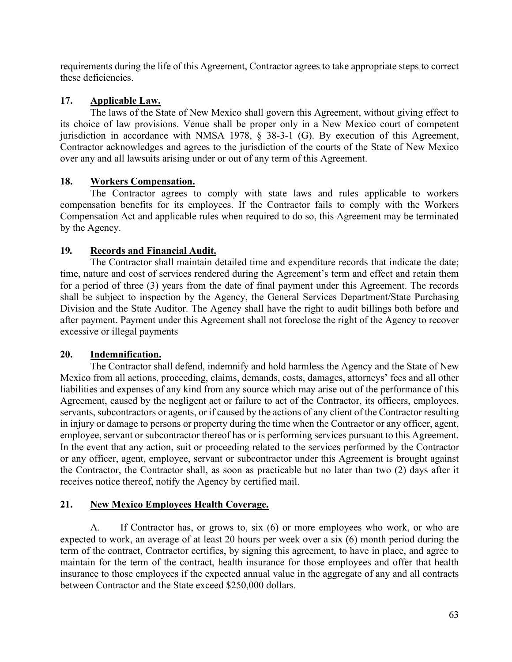requirements during the life of this Agreement, Contractor agrees to take appropriate steps to correct these deficiencies.

#### **17. Applicable Law.**

The laws of the State of New Mexico shall govern this Agreement, without giving effect to its choice of law provisions. Venue shall be proper only in a New Mexico court of competent jurisdiction in accordance with NMSA 1978, § 38-3-1 (G). By execution of this Agreement, Contractor acknowledges and agrees to the jurisdiction of the courts of the State of New Mexico over any and all lawsuits arising under or out of any term of this Agreement.

#### **18. Workers Compensation.**

The Contractor agrees to comply with state laws and rules applicable to workers compensation benefits for its employees. If the Contractor fails to comply with the Workers Compensation Act and applicable rules when required to do so, this Agreement may be terminated by the Agency.

#### **19***.* **Records and Financial Audit.**

The Contractor shall maintain detailed time and expenditure records that indicate the date; time, nature and cost of services rendered during the Agreement's term and effect and retain them for a period of three (3) years from the date of final payment under this Agreement. The records shall be subject to inspection by the Agency, the General Services Department/State Purchasing Division and the State Auditor. The Agency shall have the right to audit billings both before and after payment. Payment under this Agreement shall not foreclose the right of the Agency to recover excessive or illegal payments

#### **20. Indemnification.**

The Contractor shall defend, indemnify and hold harmless the Agency and the State of New Mexico from all actions, proceeding, claims, demands, costs, damages, attorneys' fees and all other liabilities and expenses of any kind from any source which may arise out of the performance of this Agreement, caused by the negligent act or failure to act of the Contractor, its officers, employees, servants, subcontractors or agents, or if caused by the actions of any client of the Contractor resulting in injury or damage to persons or property during the time when the Contractor or any officer, agent, employee, servant or subcontractor thereof has or is performing services pursuant to this Agreement. In the event that any action, suit or proceeding related to the services performed by the Contractor or any officer, agent, employee, servant or subcontractor under this Agreement is brought against the Contractor, the Contractor shall, as soon as practicable but no later than two (2) days after it receives notice thereof, notify the Agency by certified mail.

#### **21. New Mexico Employees Health Coverage.**

A. If Contractor has, or grows to, six (6) or more employees who work, or who are expected to work, an average of at least 20 hours per week over a six (6) month period during the term of the contract, Contractor certifies, by signing this agreement, to have in place, and agree to maintain for the term of the contract, health insurance for those employees and offer that health insurance to those employees if the expected annual value in the aggregate of any and all contracts between Contractor and the State exceed \$250,000 dollars.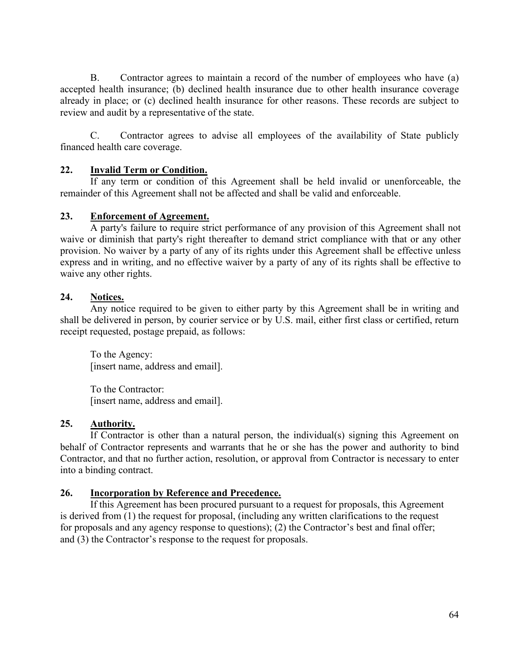B. Contractor agrees to maintain a record of the number of employees who have (a) accepted health insurance; (b) declined health insurance due to other health insurance coverage already in place; or (c) declined health insurance for other reasons. These records are subject to review and audit by a representative of the state.

C. Contractor agrees to advise all employees of the availability of State publicly financed health care coverage.

#### **22. Invalid Term or Condition.**

If any term or condition of this Agreement shall be held invalid or unenforceable, the remainder of this Agreement shall not be affected and shall be valid and enforceable.

#### **23. Enforcement of Agreement.**

A party's failure to require strict performance of any provision of this Agreement shall not waive or diminish that party's right thereafter to demand strict compliance with that or any other provision. No waiver by a party of any of its rights under this Agreement shall be effective unless express and in writing, and no effective waiver by a party of any of its rights shall be effective to waive any other rights.

#### **24. Notices.**

Any notice required to be given to either party by this Agreement shall be in writing and shall be delivered in person, by courier service or by U.S. mail, either first class or certified, return receipt requested, postage prepaid, as follows:

To the Agency: [insert name, address and email].

To the Contractor: [insert name, address and email].

#### **25. Authority.**

If Contractor is other than a natural person, the individual(s) signing this Agreement on behalf of Contractor represents and warrants that he or she has the power and authority to bind Contractor, and that no further action, resolution, or approval from Contractor is necessary to enter into a binding contract.

#### **26. Incorporation by Reference and Precedence.**

If this Agreement has been procured pursuant to a request for proposals, this Agreement is derived from (1) the request for proposal, (including any written clarifications to the request for proposals and any agency response to questions); (2) the Contractor's best and final offer; and (3) the Contractor's response to the request for proposals.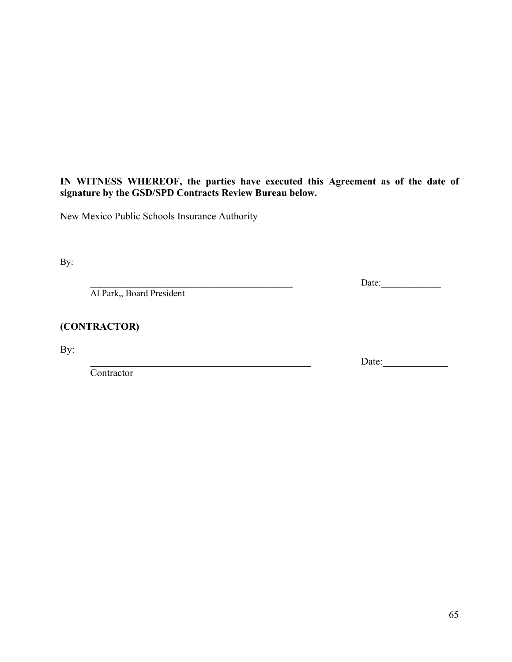#### **IN WITNESS WHEREOF, the parties have executed this Agreement as of the date of signature by the GSD/SPD Contracts Review Bureau below.**

New Mexico Public Schools Insurance Authority

By:

Al Park,, Board President

#### **(CONTRACTOR)**

By:

Contractor

\_\_\_\_\_\_\_\_\_\_\_\_\_\_\_\_\_\_\_\_\_\_\_\_\_\_\_\_\_\_\_\_\_\_\_\_\_\_\_\_\_\_\_\_ Date:\_\_\_\_\_\_\_\_\_\_\_\_\_

\_\_\_\_\_\_\_\_\_\_\_\_\_\_\_\_\_\_\_\_\_\_\_\_\_\_\_\_\_\_\_\_\_\_\_\_\_\_\_\_\_\_\_\_ Date:\_\_\_\_\_\_\_\_\_\_\_\_\_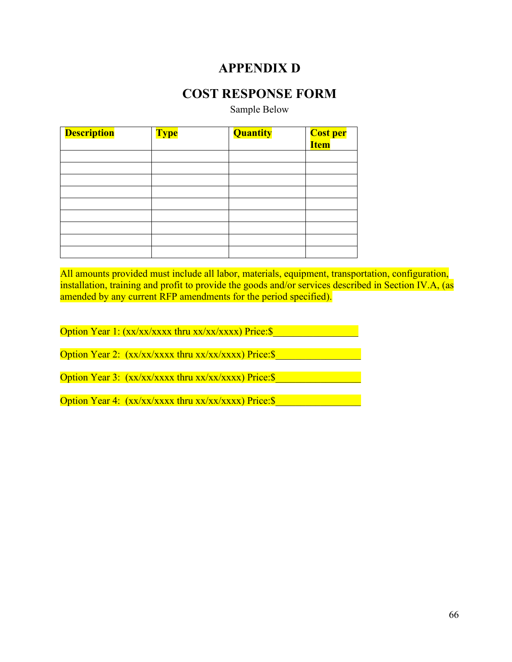## **APPENDIX D**

### **COST RESPONSE FORM**

Sample Below

| <b>Description</b> | <b>Type</b> | Quantity | <mark>Cost per</mark><br><mark>Item</mark> |
|--------------------|-------------|----------|--------------------------------------------|
|                    |             |          |                                            |
|                    |             |          |                                            |
|                    |             |          |                                            |
|                    |             |          |                                            |
|                    |             |          |                                            |
|                    |             |          |                                            |
|                    |             |          |                                            |
|                    |             |          |                                            |
|                    |             |          |                                            |

All amounts provided must include all labor, materials, equipment, transportation, configuration, installation, training and profit to provide the goods and/or services described in Section IV.A, (as amended by any current RFP amendments for the period specified).

Option Year 1: (xx/xx/xxxx thru xx/xx/xxxx) Price:\$

Option Year 2: (xx/xx/xxxx thru xx/xx/xxxx) Price:\$

Option Year 3:  $(xx/xx/xxx x$  thru  $xx/xx/xxx x$ ) Price: \

Option Year 4:  $(xx/xx/xxx \text{ thru } xx/xx/xxx)$  Price: \$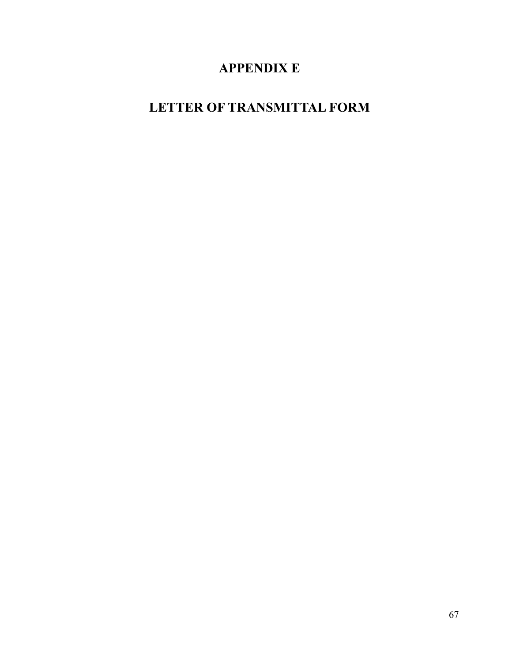# **APPENDIX E**

# **LETTER OF TRANSMITTAL FORM**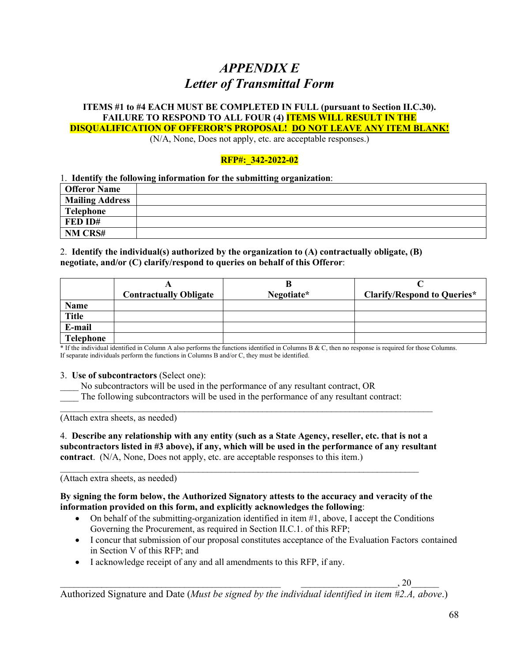## *APPENDIX E Letter of Transmittal Form*

#### **ITEMS #1 to #4 EACH MUST BE COMPLETED IN FULL (pursuant to Section II.C.30). FAILURE TO RESPOND TO ALL FOUR (4) ITEMS WILL RESULT IN THE DISQUALIFICATION OF OFFEROR'S PROPOSAL! DO NOT LEAVE ANY ITEM BLANK!**

(N/A, None, Does not apply, etc. are acceptable responses.)

#### **RFP#:\_342-2022-02**

#### 1. **Identify the following information for the submitting organization**:

| <b>Offeror Name</b>    |  |
|------------------------|--|
| <b>Mailing Address</b> |  |
| <b>Telephone</b>       |  |
| FED ID#                |  |
| NM CRS#                |  |

#### 2. **Identify the individual(s) authorized by the organization to (A) contractually obligate, (B) negotiate, and/or (C) clarify/respond to queries on behalf of this Offeror**:

|                  |                               | В          |                                    |
|------------------|-------------------------------|------------|------------------------------------|
|                  | <b>Contractually Obligate</b> | Negotiate* | <b>Clarify/Respond to Queries*</b> |
| Name             |                               |            |                                    |
| <b>Title</b>     |                               |            |                                    |
| E-mail           |                               |            |                                    |
| <b>Telephone</b> |                               |            |                                    |

\* If the individual identified in Column A also performs the functions identified in Columns B & C, then no response is required for those Columns. If separate individuals perform the functions in Columns B and/or C, they must be identified.

#### 3. **Use of subcontractors** (Select one):

No subcontractors will be used in the performance of any resultant contract, OR

The following subcontractors will be used in the performance of any resultant contract:

(Attach extra sheets, as needed)

4. **Describe any relationship with any entity (such as a State Agency, reseller, etc. that is not a subcontractors listed in #3 above), if any, which will be used in the performance of any resultant contract**. (N/A, None, Does not apply, etc. are acceptable responses to this item.)

 $\_$  , and the contribution of the contribution of  $\mathcal{L}_\mathcal{A}$  , and the contribution of  $\mathcal{L}_\mathcal{A}$ 

\_\_\_\_\_\_\_\_\_\_\_\_\_\_\_\_\_\_\_\_\_\_\_\_\_\_\_\_\_\_\_\_\_\_\_\_\_\_\_\_\_\_\_\_\_\_\_\_\_\_\_\_\_\_\_\_\_\_\_\_\_\_\_\_\_\_\_\_\_\_\_\_\_\_\_\_\_\_\_\_\_

(Attach extra sheets, as needed)

#### **By signing the form below, the Authorized Signatory attests to the accuracy and veracity of the information provided on this form, and explicitly acknowledges the following**:

- On behalf of the submitting-organization identified in item  $#1$ , above, I accept the Conditions Governing the Procurement, as required in Section II.C.1. of this RFP;
- I concur that submission of our proposal constitutes acceptance of the Evaluation Factors contained in Section V of this RFP; and
- I acknowledge receipt of any and all amendments to this RFP, if any.

 $\, , 20 \,$ 

Authorized Signature and Date (*Must be signed by the individual identified in item #2.A, above*.)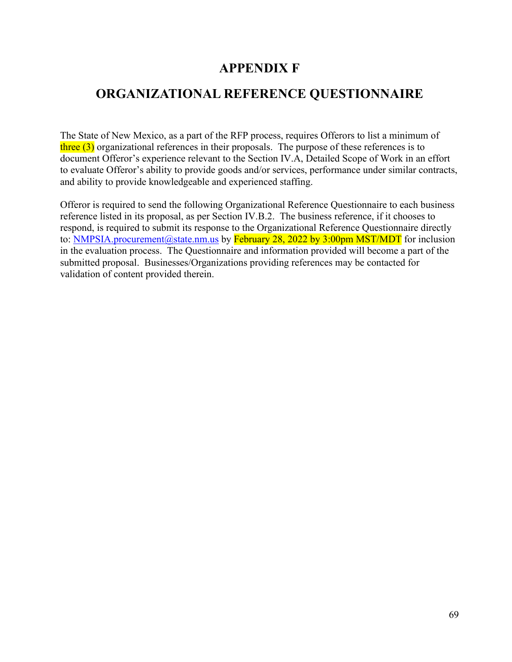### **APPENDIX F**

## **ORGANIZATIONAL REFERENCE QUESTIONNAIRE**

The State of New Mexico, as a part of the RFP process, requires Offerors to list a minimum of  $\frac{\text{three (3)}}{\text{or}$  organizational references in their proposals. The purpose of these references is to document Offeror's experience relevant to the Section IV.A, Detailed Scope of Work in an effort to evaluate Offeror's ability to provide goods and/or services, performance under similar contracts, and ability to provide knowledgeable and experienced staffing.

Offeror is required to send the following Organizational Reference Questionnaire to each business reference listed in its proposal, as per Section IV.B.2. The business reference, if it chooses to respond, is required to submit its response to the Organizational Reference Questionnaire directly to: NMPSIA.procurement@state.nm.us by February 28, 2022 by 3:00pm MST/MDT for inclusion in the evaluation process. The Questionnaire and information provided will become a part of the submitted proposal. Businesses/Organizations providing references may be contacted for validation of content provided therein.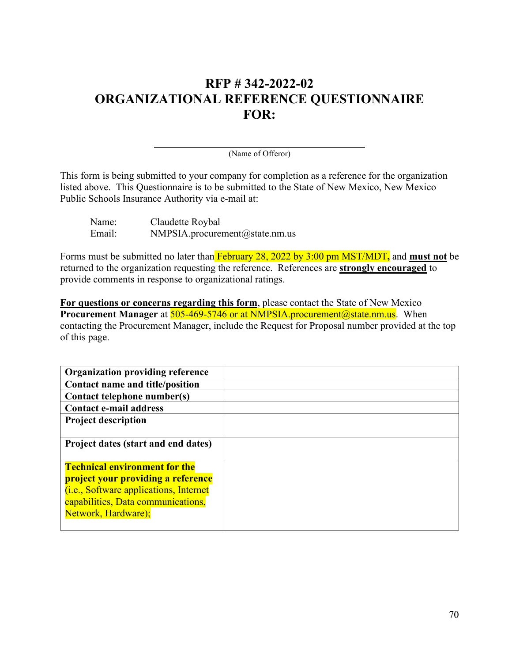## **RFP # 342-2022-02 ORGANIZATIONAL REFERENCE QUESTIONNAIRE FOR:**

(Name of Offeror)

This form is being submitted to your company for completion as a reference for the organization listed above. This Questionnaire is to be submitted to the State of New Mexico, New Mexico Public Schools Insurance Authority via e-mail at:

| Name:  | Claudette Roybal                      |
|--------|---------------------------------------|
| Email: | $NMPSIA.$ procurement $@$ state.nm.us |

Forms must be submitted no later than February 28, 2022 by 3:00 pm MST/MDT**,** and **must not** be returned to the organization requesting the reference. References are **strongly encouraged** to provide comments in response to organizational ratings.

**For questions or concerns regarding this form**, please contact the State of New Mexico **Procurement Manager** at **505-469-5746 or at NMPSIA.procurement@state.nm.us.** When contacting the Procurement Manager, include the Request for Proposal number provided at the top of this page.

| <b>Organization providing reference</b>    |  |
|--------------------------------------------|--|
| Contact name and title/position            |  |
| Contact telephone number(s)                |  |
| <b>Contact e-mail address</b>              |  |
| <b>Project description</b>                 |  |
|                                            |  |
| <b>Project dates (start and end dates)</b> |  |
|                                            |  |
| <b>Technical environment for the</b>       |  |
| project your providing a reference         |  |
| (i.e., Software applications, Internet     |  |
| capabilities, Data communications,         |  |
| Network, Hardware);                        |  |
|                                            |  |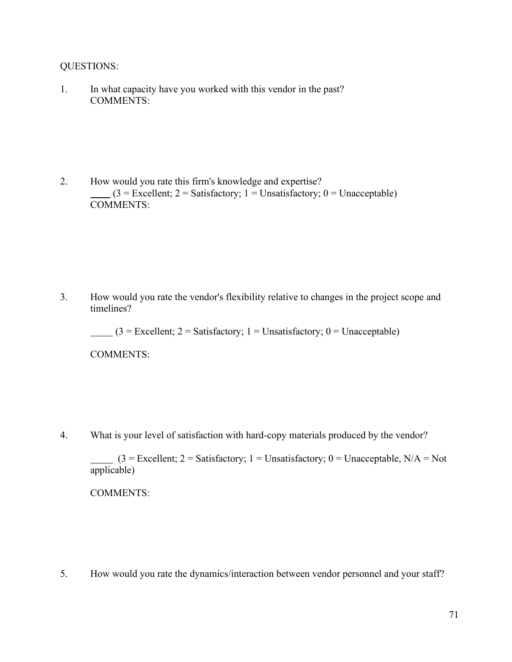QUESTIONS:

1. In what capacity have you worked with this vendor in the past? COMMENTS:

2. How would you rate this firm's knowledge and expertise?  $(3 = Excellent; 2 = Satisfactory; 1 = Unsatisfactory; 0 = Unacceptable)$ COMMENTS:

3. How would you rate the vendor's flexibility relative to changes in the project scope and timelines?

 $(3 = \text{Excellent}; 2 = \text{Satisfactory}; 1 = \text{Unsatisfactory}; 0 = \text{Unacceptable})$ 

COMMENTS:

4. What is your level of satisfaction with hard-copy materials produced by the vendor?

 $(3 = Exact$ lent;  $2 = Satisfactory; 1 = Unsatisfactory; 0 = Unacceptable, N/A = Not$ applicable)

COMMENTS:

5. How would you rate the dynamics/interaction between vendor personnel and your staff?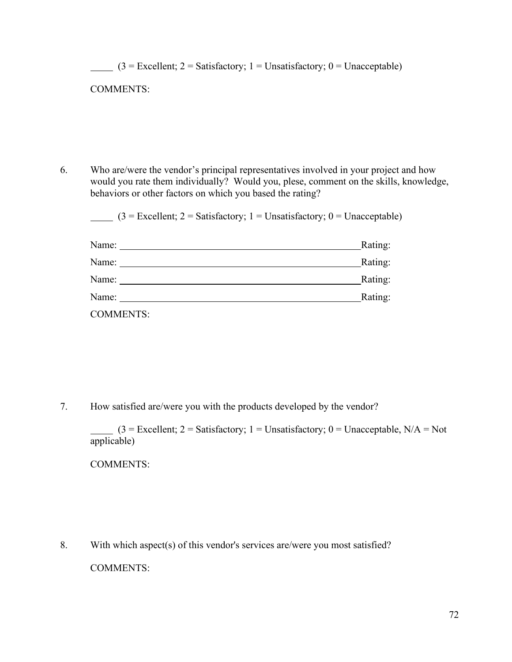| <b>COMMENTS:</b>                                                                                                                                                                                                                                                                                                                                                                                                       |                                                                                                  |
|------------------------------------------------------------------------------------------------------------------------------------------------------------------------------------------------------------------------------------------------------------------------------------------------------------------------------------------------------------------------------------------------------------------------|--------------------------------------------------------------------------------------------------|
|                                                                                                                                                                                                                                                                                                                                                                                                                        |                                                                                                  |
|                                                                                                                                                                                                                                                                                                                                                                                                                        |                                                                                                  |
|                                                                                                                                                                                                                                                                                                                                                                                                                        |                                                                                                  |
| Who are/were the vendor's principal representatives involved in your project and how                                                                                                                                                                                                                                                                                                                                   |                                                                                                  |
| behaviors or other factors on which you based the rating?                                                                                                                                                                                                                                                                                                                                                              |                                                                                                  |
| $(3 = Excellent; 2 = Satisfactory; 1 = Unsatisfactory; 0 = Unacceptable)$                                                                                                                                                                                                                                                                                                                                              |                                                                                                  |
| Name:                                                                                                                                                                                                                                                                                                                                                                                                                  | Rating:                                                                                          |
| Name: $\frac{1}{\sqrt{1-\frac{1}{2}}}\left\{ \frac{1}{2}, \frac{1}{2}, \frac{1}{2}, \frac{1}{2}, \frac{1}{2}, \frac{1}{2}, \frac{1}{2}, \frac{1}{2}, \frac{1}{2}, \frac{1}{2}, \frac{1}{2}, \frac{1}{2}, \frac{1}{2}, \frac{1}{2}, \frac{1}{2}, \frac{1}{2}, \frac{1}{2}, \frac{1}{2}, \frac{1}{2}, \frac{1}{2}, \frac{1}{2}, \frac{1}{2}, \frac{1}{2}, \frac{1}{2}, \frac{1}{2}, \frac{1}{2}, \frac{1}{2}, \frac{1}{$ | Rating:                                                                                          |
| Name: Name and the state of the state of the state of the state of the state of the state of the state of the state of the state of the state of the state of the state of the state of the state of the state of the state of                                                                                                                                                                                         | would you rate them individually? Would you, plese, comment on the skills, knowledge,<br>Rating: |

7. How satisfied are/were you with the products developed by the vendor?

 $(3 = \text{Excellent}; 2 = \text{Satisfactory}; 1 = \text{Unsatisfactory}; 0 = \text{Unacceptable}, N/A = \text{Not}$ applicable)

COMMENTS:

8. With which aspect(s) of this vendor's services are/were you most satisfied?

COMMENTS: